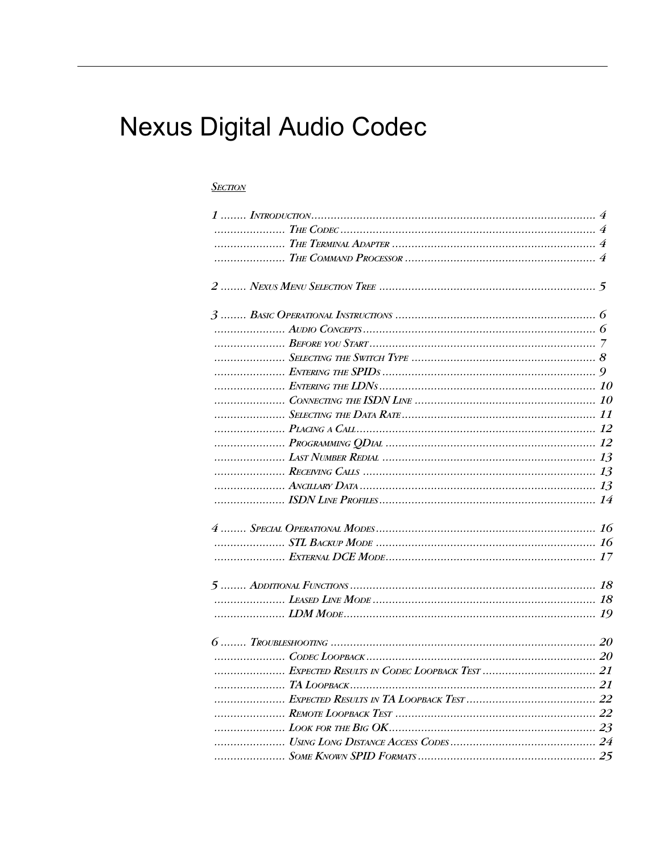# **Nexus Digital Audio Codec**

# **SECTION**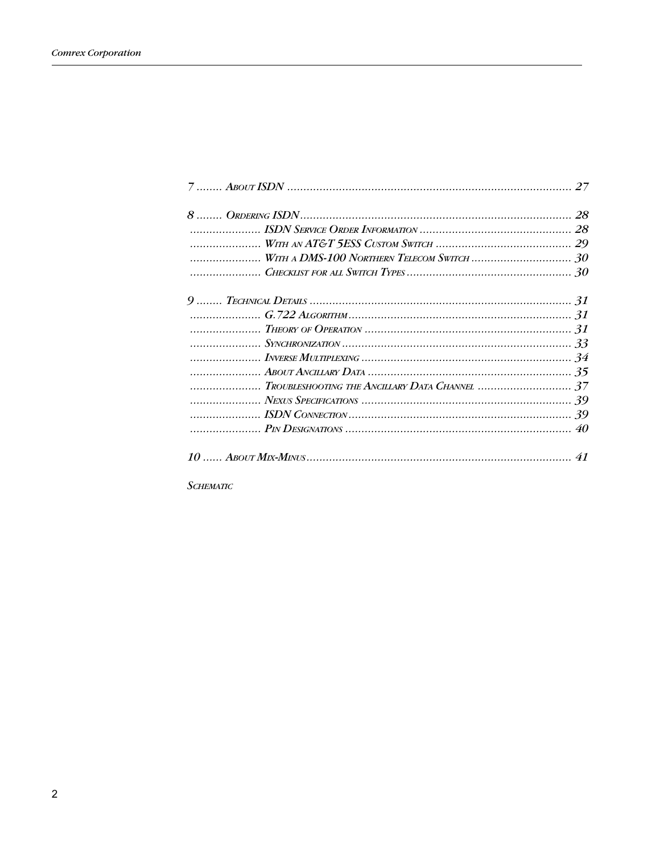| TROUBLESHOOTING THE ANCILLARY DATA CHANNEL  37 |  |
|------------------------------------------------|--|
|                                                |  |
|                                                |  |
|                                                |  |
|                                                |  |

 $S$ CHEMATIC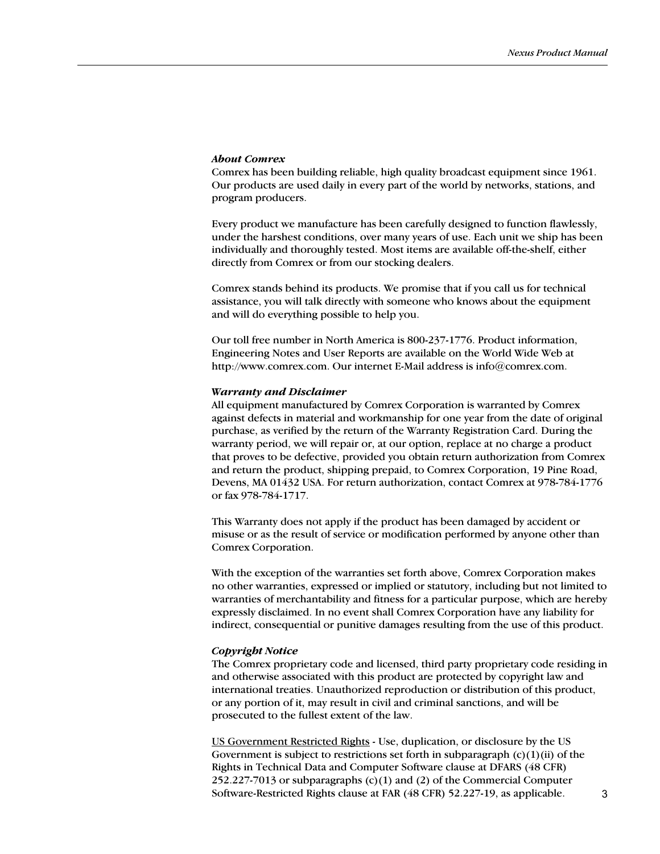### About Comrex

Comrex has been building reliable, high quality broadcast equipment since 1961. Our products are used daily in every part of the world by networks, stations, and program producers.

Every product we manufacture has been carefully designed to function flawlessly, under the harshest conditions, over many years of use. Each unit we ship has been individually and thoroughly tested. Most items are available off-the-shelf, either directly from Comrex or from our stocking dealers.

Comrex stands behind its products. We promise that if you call us for technical assistance, you will talk directly with someone who knows about the equipment and will do everything possible to help you.

Our toll free number in North America is 800-237-1776. Product information, Engineering Notes and User Reports are available on the World Wide Web at http://www.comrex.com. Our internet E-Mail address is info@comrex.com.

### Warranty and Disclaimer

All equipment manufactured by Comrex Corporation is warranted by Comrex against defects in material and workmanship for one year from the date of original purchase, as verified by the return of the Warranty Registration Card. During the warranty period, we will repair or, at our option, replace at no charge a product that proves to be defective, provided you obtain return authorization from Comrex and return the product, shipping prepaid, to Comrex Corporation, 19 Pine Road, Devens, MA 01432 USA. For return authorization, contact Comrex at 978-784-1776 or fax 978-784-1717.

This Warranty does not apply if the product has been damaged by accident or misuse or as the result of service or modification performed by anyone other than Comrex Corporation.

With the exception of the warranties set forth above, Comrex Corporation makes no other warranties, expressed or implied or statutory, including but not limited to warranties of merchantability and fitness for a particular purpose, which are hereby expressly disclaimed. In no event shall Comrex Corporation have any liability for indirect, consequential or punitive damages resulting from the use of this product.

### Copyright Notice

The Comrex proprietary code and licensed, third party proprietary code residing in and otherwise associated with this product are protected by copyright law and international treaties. Unauthorized reproduction or distribution of this product, or any portion of it, may result in civil and criminal sanctions, and will be prosecuted to the fullest extent of the law.

US Government Restricted Rights - Use, duplication, or disclosure by the US Government is subject to restrictions set forth in subparagraph  $(c)(1)(ii)$  of the Rights in Technical Data and Computer Software clause at DFARS (48 CFR) 252.227-7013 or subparagraphs (c)(1) and (2) of the Commercial Computer Software-Restricted Rights clause at FAR (48 CFR) 52.227-19, as applicable.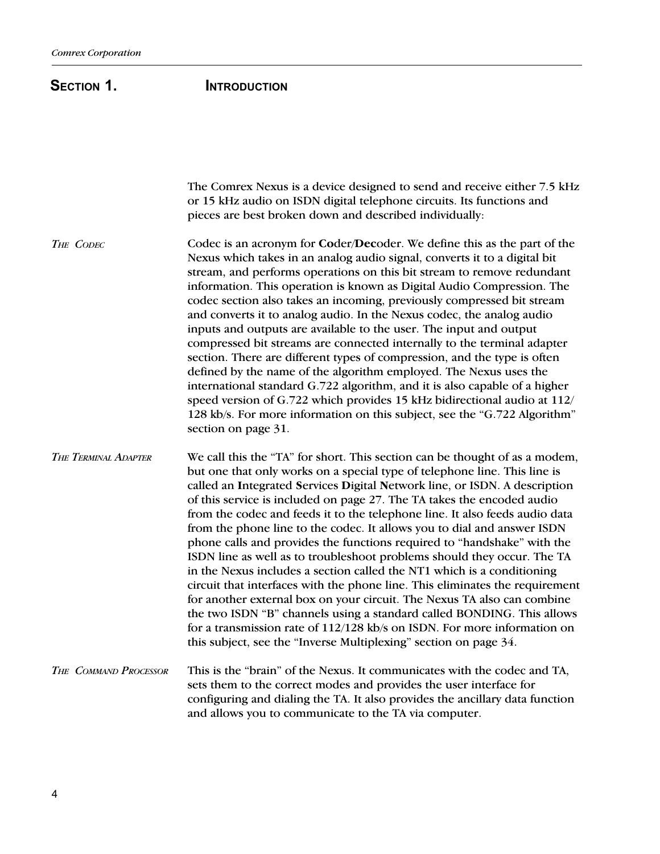# SECTION 1. **INTRODUCTION**

The Comrex Nexus is a device designed to send and receive either 7.5 kHz or 15 kHz audio on ISDN digital telephone circuits. Its functions and pieces are best broken down and described individually: Codec is an acronym for Coder/Decoder. We define this as the part of the Nexus which takes in an analog audio signal, converts it to a digital bit stream, and performs operations on this bit stream to remove redundant information. This operation is known as Digital Audio Compression. The codec section also takes an incoming, previously compressed bit stream and converts it to analog audio. In the Nexus codec, the analog audio inputs and outputs are available to the user. The input and output compressed bit streams are connected internally to the terminal adapter section. There are different types of compression, and the type is often defined by the name of the algorithm employed. The Nexus uses the international standard G.722 algorithm, and it is also capable of a higher speed version of G.722 which provides 15 kHz bidirectional audio at 112/ 128 kb/s. For more information on this subject, see the "G.722 Algorithm" section on page 31. We call this the "TA" for short. This section can be thought of as a modem, but one that only works on a special type of telephone line. This line is called an Integrated Services Digital Network line, or ISDN. A description of this service is included on page 27. The TA takes the encoded audio from the codec and feeds it to the telephone line. It also feeds audio data from the phone line to the codec. It allows you to dial and answer ISDN phone calls and provides the functions required to "handshake" with the ISDN line as well as to troubleshoot problems should they occur. The TA in the Nexus includes a section called the NT1 which is a conditioning circuit that interfaces with the phone line. This eliminates the requirement for another external box on your circuit. The Nexus TA also can combine the two ISDN "B" channels using a standard called BONDING. This allows for a transmission rate of 112/128 kb/s on ISDN. For more information on this subject, see the "Inverse Multiplexing" section on page 34. This is the "brain" of the Nexus. It communicates with the codec and TA, sets them to the correct modes and provides the user interface for configuring and dialing the TA. It also provides the ancillary data function and allows you to communicate to the TA via computer. THE CODEC THE TERMINAL ADAPTER THE COMMAND PROCESSOR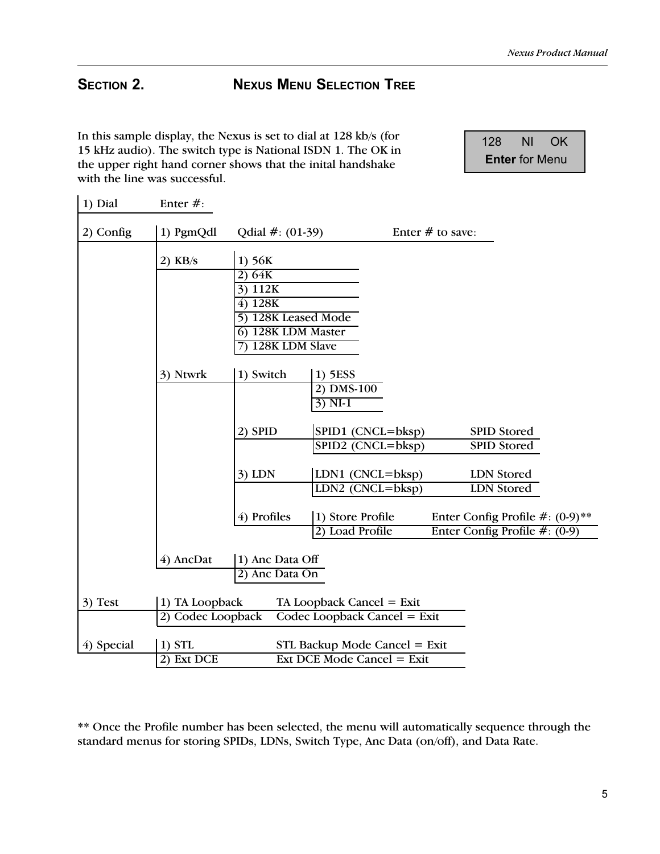# SECTION 2. NEXUS MENU SELECTION TREE

In this sample display, the Nexus is set to dial at 128 kb/s (for 15 kHz audio). The switch type is National ISDN 1. The OK in the upper right hand corner shows that the inital handshake with the line was successful.

 128 NI OK Enter for Menu

| 1) Dial    | Enter $#$ :       |                                           |                                   |                                     |
|------------|-------------------|-------------------------------------------|-----------------------------------|-------------------------------------|
| 2) Config  | 1) PgmQdl         | Qdial $#: (01-39)$                        |                                   | Enter $#$ to save:                  |
|            | $2)$ KB/s         | 1) 56K                                    |                                   |                                     |
|            |                   | 2) 64K                                    |                                   |                                     |
|            |                   | 3) 112K                                   |                                   |                                     |
|            |                   | 4) 128K                                   |                                   |                                     |
|            |                   | 5) 128K Leased Mode<br>6) 128K LDM Master |                                   |                                     |
|            |                   | 128K LDM Slave                            |                                   |                                     |
|            |                   |                                           |                                   |                                     |
|            | 3) Ntwrk          | 1) Switch                                 | 1) 5ESS                           |                                     |
|            |                   |                                           | 2) DMS-100                        |                                     |
|            |                   |                                           | $3)$ NI-1                         |                                     |
|            |                   | 2) SPID                                   | SPID1 (CNCL=bksp)                 | <b>SPID Stored</b>                  |
|            |                   |                                           | SPID2 (CNCL=bksp)                 | <b>SPID Stored</b>                  |
|            |                   |                                           |                                   |                                     |
|            |                   | $3)$ LDN                                  | LDN1 $(CNCL = bksp)$              | <b>LDN</b> Stored                   |
|            |                   |                                           | LDN2 $(CNCL = bksp)$              | <b>LDN</b> Stored                   |
|            |                   | 4) Profiles                               | 1) Store Profile                  | Enter Config Profile $\#$ : (0-9)** |
|            |                   |                                           | 2) Load Profile                   | Enter Config Profile $#:(0-9)$      |
|            |                   |                                           |                                   |                                     |
|            | 4) AncDat         | 1) Anc Data Off                           |                                   |                                     |
|            |                   | $\overline{2)}$<br>Anc Data On            |                                   |                                     |
| 3) Test    | 1) TA Loopback    |                                           | TA Loopback Cancel = Exit         |                                     |
|            | 2) Codec Loopback |                                           | Codec Loopback Cancel = Exit      |                                     |
|            |                   |                                           |                                   |                                     |
| 4) Special | $1)$ STL          |                                           | STL Backup Mode Cancel = Exit     |                                     |
|            | 2) Ext DCE        |                                           | <b>Ext DCE Mode Cancel = Exit</b> |                                     |

\*\* Once the Profile number has been selected, the menu will automatically sequence through the standard menus for storing SPIDs, LDNs, Switch Type, Anc Data (on/off), and Data Rate.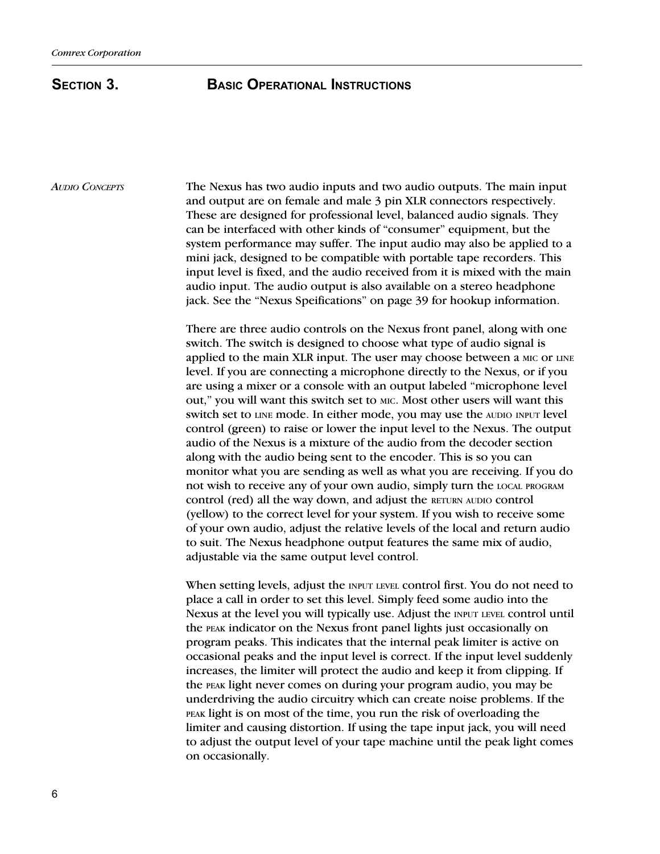The Nexus has two audio inputs and two audio outputs. The main input and output are on female and male 3 pin XLR connectors respectively. These are designed for professional level, balanced audio signals. They can be interfaced with other kinds of "consumer" equipment, but the system performance may suffer. The input audio may also be applied to a mini jack, designed to be compatible with portable tape recorders. This input level is fixed, and the audio received from it is mixed with the main audio input. The audio output is also available on a stereo headphone jack. See the "Nexus Speifications" on page 39 for hookup information. AUDIO CONCEPTS

> There are three audio controls on the Nexus front panel, along with one switch. The switch is designed to choose what type of audio signal is applied to the main XLR input. The user may choose between a MIC or LINE level. If you are connecting a microphone directly to the Nexus, or if you are using a mixer or a console with an output labeled "microphone level out, you will want this switch set to MIC. Most other users will want this switch set to LINE mode. In either mode, you may use the AUDIO INPUT level control (green) to raise or lower the input level to the Nexus. The output audio of the Nexus is a mixture of the audio from the decoder section along with the audio being sent to the encoder. This is so you can monitor what you are sending as well as what you are receiving. If you do not wish to receive any of your own audio, simply turn the LOCAL PROGRAM control (red) all the way down, and adjust the RETURN AUDIO control (yellow) to the correct level for your system. If you wish to receive some of your own audio, adjust the relative levels of the local and return audio to suit. The Nexus headphone output features the same mix of audio, adjustable via the same output level control.

> When setting levels, adjust the INPUT LEVEL control first. You do not need to place a call in order to set this level. Simply feed some audio into the Nexus at the level you will typically use. Adjust the INPUT LEVEL control until the PEAK indicator on the Nexus front panel lights just occasionally on program peaks. This indicates that the internal peak limiter is active on occasional peaks and the input level is correct. If the input level suddenly increases, the limiter will protect the audio and keep it from clipping. If the PEAK light never comes on during your program audio, you may be underdriving the audio circuitry which can create noise problems. If the PEAK light is on most of the time, you run the risk of overloading the limiter and causing distortion. If using the tape input jack, you will need to adjust the output level of your tape machine until the peak light comes on occasionally.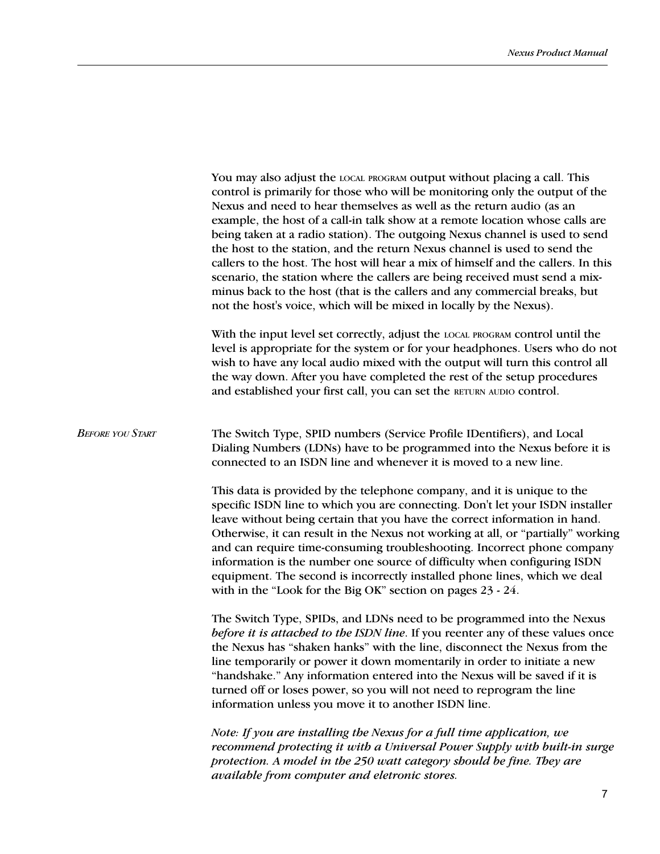|                         | You may also adjust the LOCAL PROGRAM Output without placing a call. This<br>control is primarily for those who will be monitoring only the output of the<br>Nexus and need to hear themselves as well as the return audio (as an<br>example, the host of a call-in talk show at a remote location whose calls are<br>being taken at a radio station). The outgoing Nexus channel is used to send<br>the host to the station, and the return Nexus channel is used to send the<br>callers to the host. The host will hear a mix of himself and the callers. In this<br>scenario, the station where the callers are being received must send a mix-<br>minus back to the host (that is the callers and any commercial breaks, but<br>not the host's voice, which will be mixed in locally by the Nexus). |  |  |
|-------------------------|---------------------------------------------------------------------------------------------------------------------------------------------------------------------------------------------------------------------------------------------------------------------------------------------------------------------------------------------------------------------------------------------------------------------------------------------------------------------------------------------------------------------------------------------------------------------------------------------------------------------------------------------------------------------------------------------------------------------------------------------------------------------------------------------------------|--|--|
|                         | With the input level set correctly, adjust the LOCAL PROGRAM control until the<br>level is appropriate for the system or for your headphones. Users who do not<br>wish to have any local audio mixed with the output will turn this control all<br>the way down. After you have completed the rest of the setup procedures<br>and established your first call, you can set the RETURN AUDIO control.                                                                                                                                                                                                                                                                                                                                                                                                    |  |  |
| <b>BEFORE YOU START</b> | The Switch Type, SPID numbers (Service Profile IDentifiers), and Local<br>Dialing Numbers (LDNs) have to be programmed into the Nexus before it is<br>connected to an ISDN line and whenever it is moved to a new line.                                                                                                                                                                                                                                                                                                                                                                                                                                                                                                                                                                                 |  |  |
|                         | This data is provided by the telephone company, and it is unique to the<br>specific ISDN line to which you are connecting. Don't let your ISDN installer<br>leave without being certain that you have the correct information in hand.<br>Otherwise, it can result in the Nexus not working at all, or "partially" working<br>and can require time-consuming troubleshooting. Incorrect phone company<br>information is the number one source of difficulty when configuring ISDN<br>equipment. The second is incorrectly installed phone lines, which we deal<br>with in the "Look for the Big OK" section on pages 23 - 24.                                                                                                                                                                           |  |  |
|                         | The Switch Type, SPIDs, and LDNs need to be programmed into the Nexus<br>before it is attached to the ISDN line. If you reenter any of these values once<br>the Nexus has "shaken hanks" with the line, disconnect the Nexus from the<br>line temporarily or power it down momentarily in order to initiate a new<br>"handshake." Any information entered into the Nexus will be saved if it is<br>turned off or loses power, so you will not need to reprogram the line<br>information unless you move it to another ISDN line.                                                                                                                                                                                                                                                                        |  |  |
|                         | Note: If you are installing the Nexus for a full time application, we<br>recommend protecting it with a Universal Power Supply with built-in surge<br>protection. A model in the 250 watt category should be fine. They are<br>available from computer and eletronic stores.                                                                                                                                                                                                                                                                                                                                                                                                                                                                                                                            |  |  |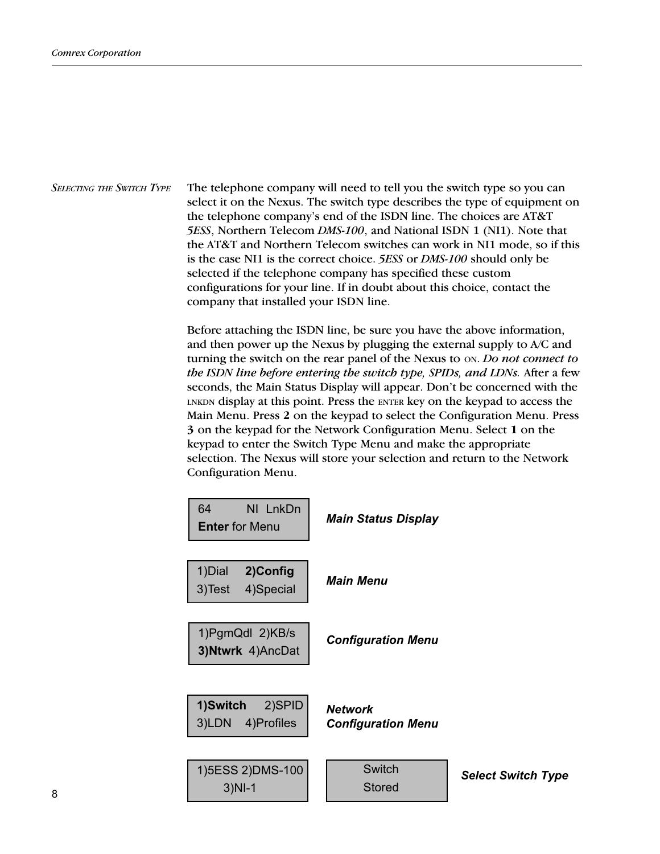SELECTING THE SWITCH TYPE The telephone company will need to tell you the switch type so you can select it on the Nexus. The switch type describes the type of equipment on the telephone companys end of the ISDN line. The choices are AT&T 5ESS, Northern Telecom DMS-100, and National ISDN 1 (NI1). Note that the AT&T and Northern Telecom switches can work in NI1 mode, so if this is the case NI1 is the correct choice. 5ESS or DMS-100 should only be selected if the telephone company has specified these custom configurations for your line. If in doubt about this choice, contact the company that installed your ISDN line.

> Before attaching the ISDN line, be sure you have the above information, and then power up the Nexus by plugging the external supply to A/C and turning the switch on the rear panel of the Nexus to ON. Do not connect to the ISDN line before entering the switch type, SPIDs, and LDNs. After a few seconds, the Main Status Display will appear. Don't be concerned with the LNKDN display at this point. Press the ENTER key on the keypad to access the Main Menu. Press 2 on the keypad to select the Configuration Menu. Press 3 on the keypad for the Network Configuration Menu. Select 1 on the keypad to enter the Switch Type Menu and make the appropriate selection. The Nexus will store your selection and return to the Network Configuration Menu.

| NI LnkDn<br>64<br><b>Enter for Menu</b>     | <b>Main Status Display</b>                  |                           |
|---------------------------------------------|---------------------------------------------|---------------------------|
| 1) Dial<br>2)Config<br>4)Special<br>3) Test | <b>Main Menu</b>                            |                           |
| 1) PgmQdl 2) KB/s<br>3) Ntwrk 4) AncDat     | <b>Configuration Menu</b>                   |                           |
| 2)SPID<br>1)Switch<br>4)Profiles<br>3)LDN   | <b>Network</b><br><b>Configuration Menu</b> |                           |
| 1) 5ESS 2) DMS-100<br>$3)$ NI-1             | <b>Switch</b><br><b>Stored</b>              | <b>Select Switch Type</b> |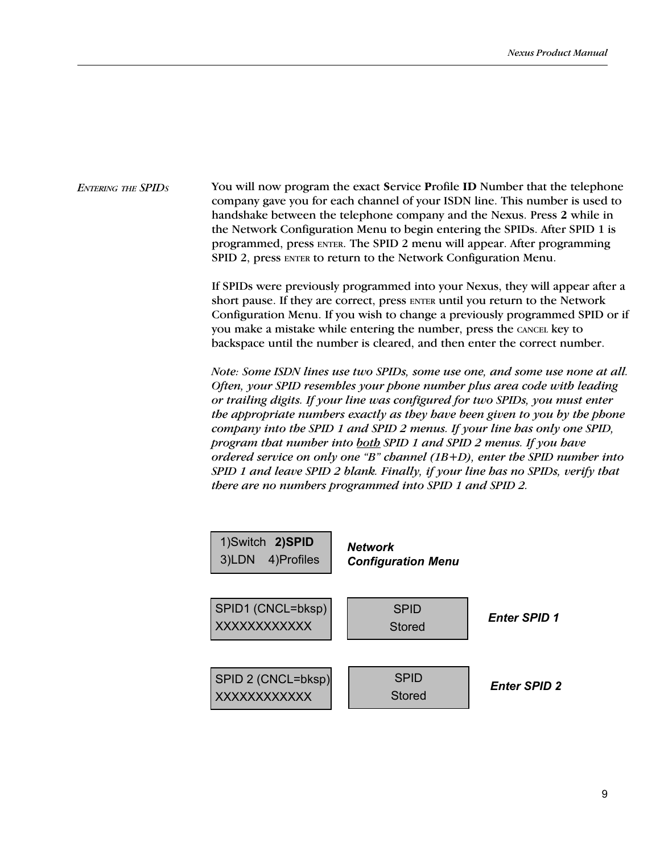ENTERING THE SPIDS You will now program the exact Service Profile ID Number that the telephone company gave you for each channel of your ISDN line. This number is used to handshake between the telephone company and the Nexus. Press 2 while in the Network Configuration Menu to begin entering the SPIDs. After SPID 1 is programmed, press ENTER. The SPID 2 menu will appear. After programming SPID 2, press ENTER to return to the Network Configuration Menu.

> If SPIDs were previously programmed into your Nexus, they will appear after a short pause. If they are correct, press ENTER until you return to the Network Configuration Menu. If you wish to change a previously programmed SPID or if you make a mistake while entering the number, press the CANCEL key to backspace until the number is cleared, and then enter the correct number.

> Note: Some ISDN lines use two SPIDs, some use one, and some use none at all. Often, your SPID resembles your phone number plus area code with leading or trailing digits. If your line was configured for two SPIDs, you must enter the appropriate numbers exactly as they have been given to you by the phone company into the SPID 1 and SPID 2 menus. If your line has only one SPID, program that number into both SPID 1 and SPID 2 menus. If you have ordered service on only one "B" channel (1B+D), enter the SPID number into SPID 1 and leave SPID 2 blank. Finally, if your line has no SPIDs, verify that there are no numbers programmed into SPID 1 and SPID 2.

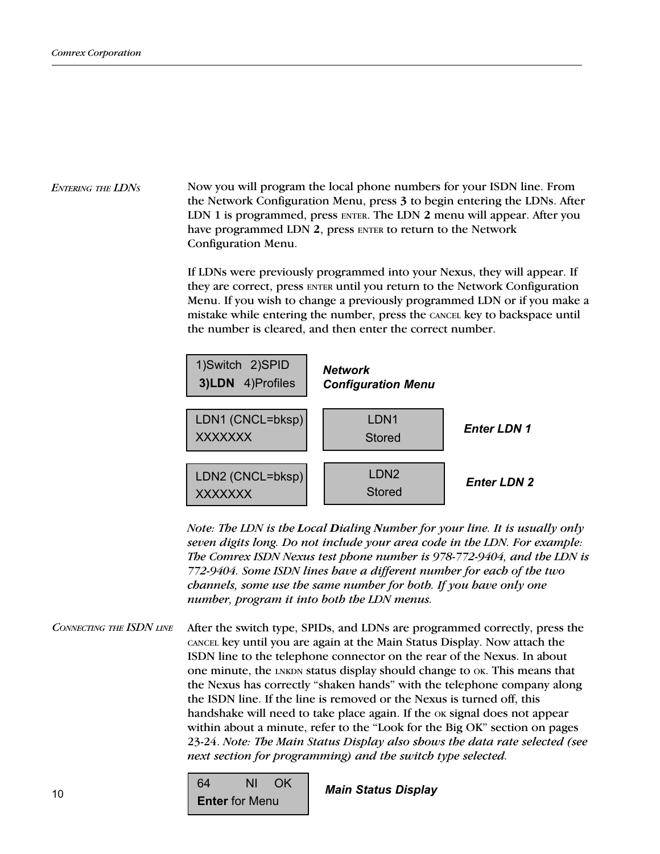### Now you will program the local phone numbers for your ISDN line. From the Network Configuration Menu, press 3 to begin entering the LDNs. After LDN 1 is programmed, press ENTER. The LDN 2 menu will appear. After you have programmed LDN 2, press ENTER to return to the Network Configuration Menu. ENTERING THE LDNS

If LDNs were previously programmed into your Nexus, they will appear. If they are correct, press ENTER until you return to the Network Configuration Menu. If you wish to change a previously programmed LDN or if you make a mistake while entering the number, press the CANCEL key to backspace until the number is cleared, and then enter the correct number.



Note: The LDN is the Local Dialing Number for your line. It is usually only seven digits long. Do not include your area code in the LDN. For example: The Comrex ISDN Nexus test phone number is 978-772-9404, and the LDN is 772-9404. Some ISDN lines have a different number for each of the two channels, some use the same number for both. If you have only one number, program it into both the LDN menus.

After the switch type, SPIDs, and LDNs are programmed correctly, press the CANCEL key until you are again at the Main Status Display. Now attach the ISDN line to the telephone connector on the rear of the Nexus. In about one minute, the LNKDN status display should change to OK. This means that the Nexus has correctly "shaken hands" with the telephone company along the ISDN line. If the line is removed or the Nexus is turned off, this handshake will need to take place again. If the  $\alpha$  signal does not appear within about a minute, refer to the "Look for the Big OK" section on pages 23-24. Note: The Main Status Display also shows the data rate selected (see next section for programming) and the switch type selected. CONNECTING THE ISDN LINE

> 64 NI OK **Enter** for Menu

Main Status Display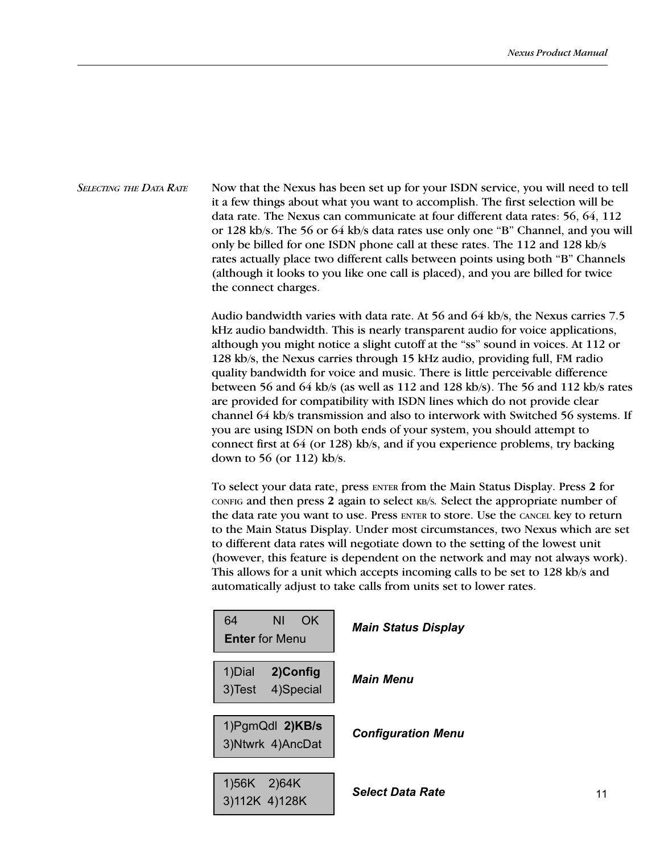Now that the Nexus has been set up for your ISDN service, you will need to tell it a few things about what you want to accomplish. The first selection will be data rate. The Nexus can communicate at four different data rates: 56, 64, 112 or 128 kb/s. The 56 or  $64$  kb/s data rates use only one "B" Channel, and you will only be billed for one ISDN phone call at these rates. The 112 and 128 kb/s rates actually place two different calls between points using both "B" Channels (although it looks to you like one call is placed), and you are billed for twice the connect charges. SELECTING THE DATA RATE

> Audio bandwidth varies with data rate. At 56 and 64 kb/s, the Nexus carries 7.5 kHz audio bandwidth. This is nearly transparent audio for voice applications, although you might notice a slight cutoff at the "ss" sound in voices. At 112 or 128 kb/s, the Nexus carries through 15 kHz audio, providing full, FM radio quality bandwidth for voice and music. There is little perceivable difference between 56 and 64 kb/s (as well as 112 and 128 kb/s). The 56 and 112 kb/s rates are provided for compatibility with ISDN lines which do not provide clear channel 64 kb/s transmission and also to interwork with Switched 56 systems. If you are using ISDN on both ends of your system, you should attempt to connect first at 64 (or 128) kb/s, and if you experience problems, try backing down to 56 (or 112) kb/s.

> To select your data rate, press ENTER from the Main Status Display. Press 2 for CONFIG and then press 2 again to select KB/S. Select the appropriate number of the data rate you want to use. Press ENTER to store. Use the CANCEL key to return to the Main Status Display. Under most circumstances, two Nexus which are set to different data rates will negotiate down to the setting of the lowest unit (however, this feature is dependent on the network and may not always work). This allows for a unit which accepts incoming calls to be set to 128 kb/s and automatically adjust to take calls from units set to lower rates.

| ΝI<br>64<br>OK.<br><b>Enter</b> for Menu  | <b>Main Status Display</b>     |
|-------------------------------------------|--------------------------------|
| 1)Dial<br>2)Config<br>3)Test<br>4)Special | <i><b>Main Menu</b></i>        |
| 1) PgmQdl 2) KB/s<br>3) Ntwrk 4) AncDat   | <b>Configuration Menu</b>      |
| $1)56K$ 2)64K<br>3)112K 4)128K            | <i><b>Select Data Rate</b></i> |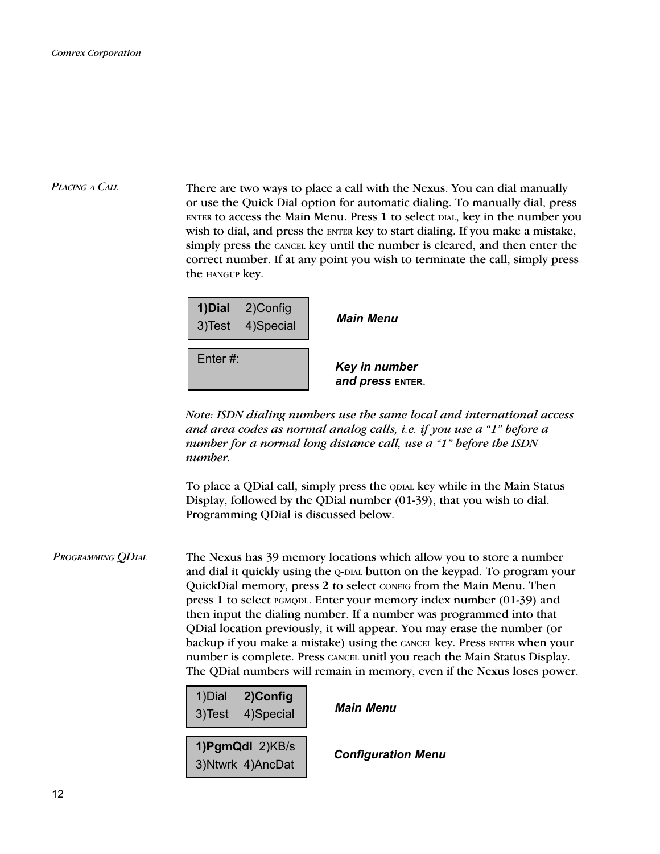There are two ways to place a call with the Nexus. You can dial manually or use the Quick Dial option for automatic dialing. To manually dial, press ENTER to access the Main Menu. Press 1 to select DIAL, key in the number you wish to dial, and press the ENTER key to start dialing. If you make a mistake, simply press the CANCEL key until the number is cleared, and then enter the correct number. If at any point you wish to terminate the call, simply press the HANGUP key. PLACING A CALL

|             | 1) Dial 2) Config<br>3)Test 4)Special | <b>Main Menu</b>                  |
|-------------|---------------------------------------|-----------------------------------|
| Enter $#$ : |                                       | Key in number<br>and press ENTER. |

Note: ISDN dialing numbers use the same local and international access and area codes as normal analog calls, *i.e.* if you use a "1" before a number for a normal long distance call, use  $a$  "1" before the ISDN number.

To place a QDial call, simply press the QDIAL key while in the Main Status Display, followed by the QDial number (01-39), that you wish to dial. Programming QDial is discussed below.

The Nexus has 39 memory locations which allow you to store a number and dial it quickly using the Q-DIAL button on the keypad. To program your QuickDial memory, press 2 to select CONFIG from the Main Menu. Then press 1 to select PGMQDL. Enter your memory index number (01-39) and then input the dialing number. If a number was programmed into that QDial location previously, it will appear. You may erase the number (or backup if you make a mistake) using the CANCEL key. Press ENTER when your number is complete. Press CANCEL unitl you reach the Main Status Display. The QDial numbers will remain in memory, even if the Nexus loses power. PROGRAMMING QDIAL

> 1)Dial 2)Config  $3)$ Test 4)Special **Main Menu**

1)PgmQdl 2)KB/s 3)Ntwrk 4)AncDat **Configuration Menu**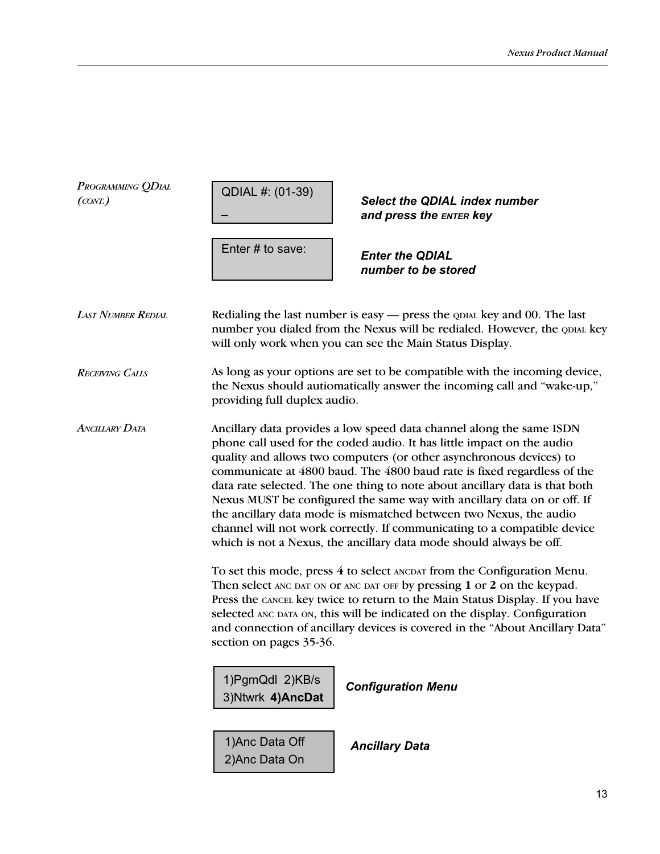| PROGRAMMING QDIAL<br>(CONT.) | QDIAL #: (01-39)<br><b>Select the QDIAL index number</b><br>and press the ENTER key                                                                                                                                                                                                                                                                                                                                                                                                                                                                                                                                                                                                                                                                                                                                                                                                                                                                                                                                                                                                                                |  |  |
|------------------------------|--------------------------------------------------------------------------------------------------------------------------------------------------------------------------------------------------------------------------------------------------------------------------------------------------------------------------------------------------------------------------------------------------------------------------------------------------------------------------------------------------------------------------------------------------------------------------------------------------------------------------------------------------------------------------------------------------------------------------------------------------------------------------------------------------------------------------------------------------------------------------------------------------------------------------------------------------------------------------------------------------------------------------------------------------------------------------------------------------------------------|--|--|
|                              | Enter # to save:<br><b>Enter the QDIAL</b><br>number to be stored                                                                                                                                                                                                                                                                                                                                                                                                                                                                                                                                                                                                                                                                                                                                                                                                                                                                                                                                                                                                                                                  |  |  |
| <b>LAST NUMBER REDIAL</b>    | Redialing the last number is easy — press the QDIAL key and 00. The last<br>number you dialed from the Nexus will be redialed. However, the QDIAL key<br>will only work when you can see the Main Status Display.                                                                                                                                                                                                                                                                                                                                                                                                                                                                                                                                                                                                                                                                                                                                                                                                                                                                                                  |  |  |
| <b>RECEIVING CALLS</b>       | As long as your options are set to be compatible with the incoming device,<br>the Nexus should autiomatically answer the incoming call and "wake-up,"<br>providing full duplex audio.                                                                                                                                                                                                                                                                                                                                                                                                                                                                                                                                                                                                                                                                                                                                                                                                                                                                                                                              |  |  |
| ANCILLARY DATA               | Ancillary data provides a low speed data channel along the same ISDN<br>phone call used for the coded audio. It has little impact on the audio<br>quality and allows two computers (or other asynchronous devices) to<br>communicate at 4800 baud. The 4800 baud rate is fixed regardless of the<br>data rate selected. The one thing to note about ancillary data is that both<br>Nexus MUST be configured the same way with ancillary data on or off. If<br>the ancillary data mode is mismatched between two Nexus, the audio<br>channel will not work correctly. If communicating to a compatible device<br>which is not a Nexus, the ancillary data mode should always be off.<br>To set this mode, press 4 to select ANCDAT from the Configuration Menu.<br>Then select ANC DAT ON OF ANC DAT OFF by pressing 1 or 2 on the keypad.<br>Press the CANCEL key twice to return to the Main Status Display. If you have<br>selected ANC DATA ON, this will be indicated on the display. Configuration<br>and connection of ancillary devices is covered in the "About Ancillary Data"<br>section on pages 35-36. |  |  |
|                              |                                                                                                                                                                                                                                                                                                                                                                                                                                                                                                                                                                                                                                                                                                                                                                                                                                                                                                                                                                                                                                                                                                                    |  |  |
|                              | 1) PgmQdl 2) KB/s<br><b>Configuration Menu</b><br>3) Ntwrk 4) AncDat                                                                                                                                                                                                                                                                                                                                                                                                                                                                                                                                                                                                                                                                                                                                                                                                                                                                                                                                                                                                                                               |  |  |
|                              | 1) Anc Data Off<br><b>Ancillary Data</b><br>2) Anc Data On                                                                                                                                                                                                                                                                                                                                                                                                                                                                                                                                                                                                                                                                                                                                                                                                                                                                                                                                                                                                                                                         |  |  |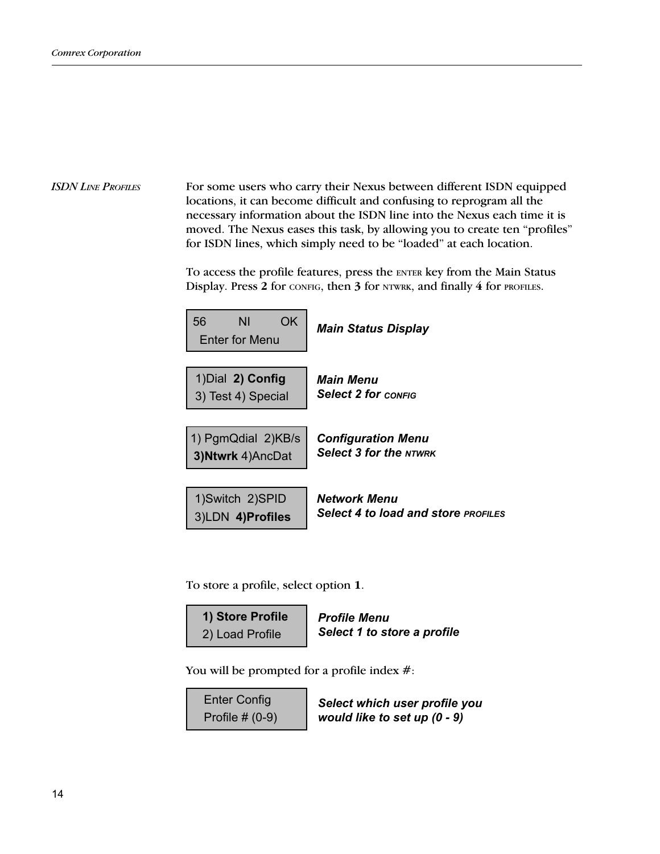### For some users who carry their Nexus between different ISDN equipped locations, it can become difficult and confusing to reprogram all the necessary information about the ISDN line into the Nexus each time it is moved. The Nexus eases this task, by allowing you to create ten "profiles" for ISDN lines, which simply need to be "loaded" at each location. ISDN LINE PROFILES

To access the profile features, press the ENTER key from the Main Status Display. Press 2 for CONFIG, then 3 for NTWRK, and finally 4 for PROFILES.

| 56<br>OK<br>ΝI<br>Enter for Menu | <b>Main Status Display</b>                 |
|----------------------------------|--------------------------------------------|
| 1) Dial 2) Config                | Main Menu                                  |
| 3) Test 4) Special               | <b>Select 2 for config</b>                 |
| 1) PgmQdial 2)KB/s               | <b>Configuration Menu</b>                  |
| 3) Ntwrk 4) AncDat               | <b>Select 3 for the NTWRK</b>              |
| 1)Switch 2)SPID                  | Network Menu                               |
| 3)LDN 4)Profiles                 | <b>Select 4 to load and store PROFILES</b> |

To store a profile, select option 1.

| 1) Store Profile | <b>Profile Menu</b>         |
|------------------|-----------------------------|
| 2) Load Profile  | Select 1 to store a profile |

You will be prompted for a profile index  $\#$ :

Enter Config Profile # (0-9)

Select which user profile you would like to set up (0 - 9)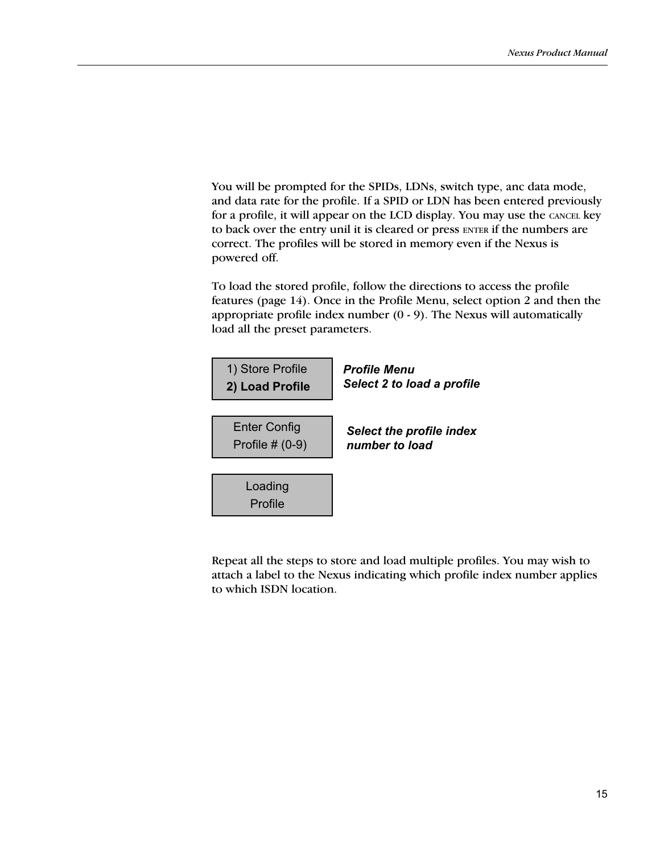You will be prompted for the SPIDs, LDNs, switch type, anc data mode, and data rate for the profile. If a SPID or LDN has been entered previously for a profile, it will appear on the LCD display. You may use the CANCEL key to back over the entry unil it is cleared or press ENTER if the numbers are correct. The profiles will be stored in memory even if the Nexus is powered off.

To load the stored profile, follow the directions to access the profile features (page 14). Once in the Profile Menu, select option 2 and then the appropriate profile index number  $(0 - 9)$ . The Nexus will automatically load all the preset parameters.



Repeat all the steps to store and load multiple profiles. You may wish to attach a label to the Nexus indicating which profile index number applies to which ISDN location.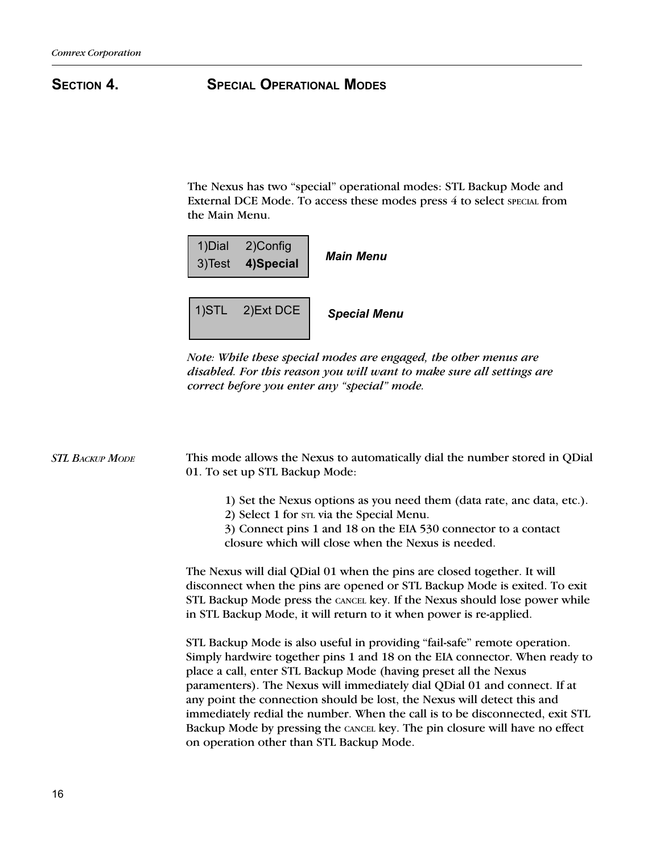# SECTION 4. SPECIAL OPERATIONAL MODES

The Nexus has two "special" operational modes: STL Backup Mode and External DCE Mode. To access these modes press 4 to select SPECIAL from the Main Menu.



Note: While these special modes are engaged, the other menus are disabled. For this reason you will want to make sure all settings are correct before you enter any "special" mode.

| <b>STL BACKUP MODE</b> | This mode allows the Nexus to automatically dial the number stored in QDial<br>01. To set up STL Backup Mode:                                                                                                                                                                                                                                                                                                                                                                                                                                                                                  |  |  |
|------------------------|------------------------------------------------------------------------------------------------------------------------------------------------------------------------------------------------------------------------------------------------------------------------------------------------------------------------------------------------------------------------------------------------------------------------------------------------------------------------------------------------------------------------------------------------------------------------------------------------|--|--|
|                        | 1) Set the Nexus options as you need them (data rate, and data, etc.).<br>2) Select 1 for str via the Special Menu.<br>3) Connect pins 1 and 18 on the EIA 530 connector to a contact<br>closure which will close when the Nexus is needed.                                                                                                                                                                                                                                                                                                                                                    |  |  |
|                        | The Nexus will dial QDial 01 when the pins are closed together. It will<br>disconnect when the pins are opened or STL Backup Mode is exited. To exit<br>STL Backup Mode press the CANCEL key. If the Nexus should lose power while<br>in STL Backup Mode, it will return to it when power is re-applied.                                                                                                                                                                                                                                                                                       |  |  |
|                        | STL Backup Mode is also useful in providing "fail-safe" remote operation.<br>Simply hardwire together pins 1 and 18 on the EIA connector. When ready to<br>place a call, enter STL Backup Mode (having preset all the Nexus<br>paramenters). The Nexus will immediately dial QDial 01 and connect. If at<br>any point the connection should be lost, the Nexus will detect this and<br>immediately redial the number. When the call is to be disconnected, exit STL<br>Backup Mode by pressing the CANCEL key. The pin closure will have no effect<br>on operation other than STL Backup Mode. |  |  |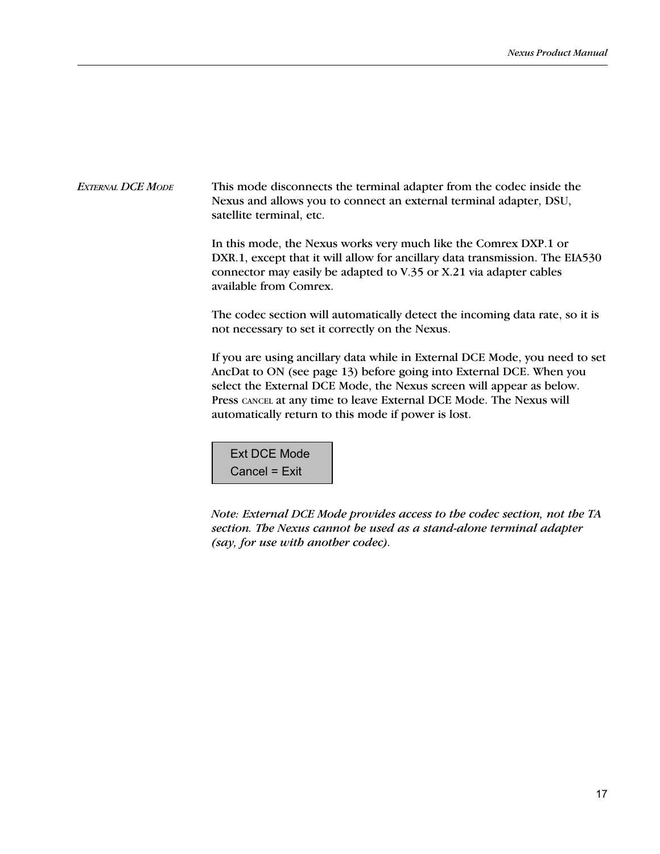This mode disconnects the terminal adapter from the codec inside the Nexus and allows you to connect an external terminal adapter, DSU, satellite terminal, etc. EXTERNAL DCE MODE

> In this mode, the Nexus works very much like the Comrex DXP.1 or DXR.1, except that it will allow for ancillary data transmission. The EIA530 connector may easily be adapted to V.35 or X.21 via adapter cables available from Comrex.

> The codec section will automatically detect the incoming data rate, so it is not necessary to set it correctly on the Nexus.

If you are using ancillary data while in External DCE Mode, you need to set AncDat to ON (see page 13) before going into External DCE. When you select the External DCE Mode, the Nexus screen will appear as below. Press CANCEL at any time to leave External DCE Mode. The Nexus will automatically return to this mode if power is lost.

Ext DCE Mode Cancel = Exit

Note: External DCE Mode provides access to the codec section, not the TA section. The Nexus cannot be used as a stand-alone terminal adapter (say, for use with another codec).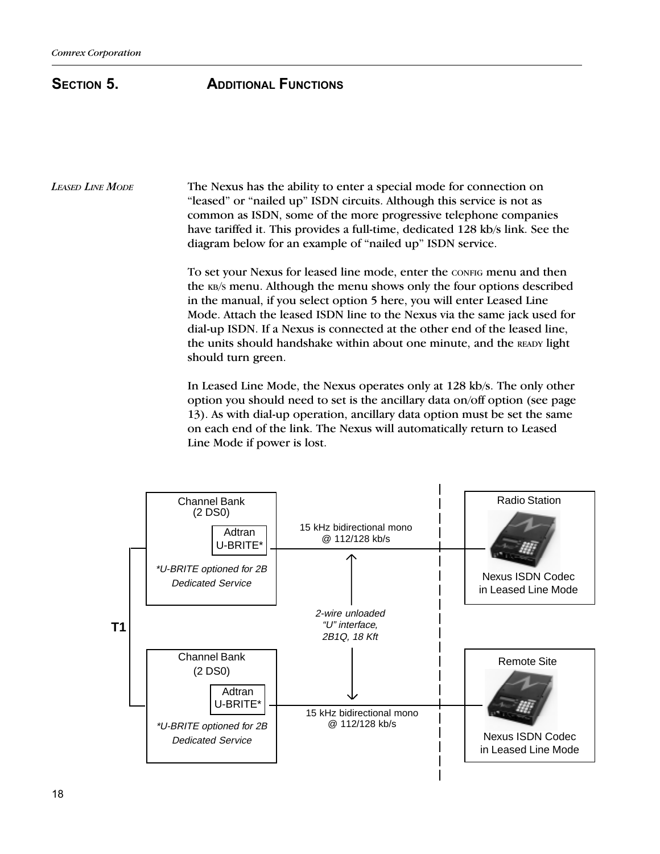# SECTION 5. **ADDITIONAL FUNCTIONS**

The Nexus has the ability to enter a special mode for connection on "leased" or "nailed up" ISDN circuits. Although this service is not as common as ISDN, some of the more progressive telephone companies have tariffed it. This provides a full-time, dedicated 128 kb/s link. See the diagram below for an example of "nailed up" ISDN service. LEASED LINE MODE

> To set your Nexus for leased line mode, enter the CONFIG menu and then the KB/S menu. Although the menu shows only the four options described in the manual, if you select option 5 here, you will enter Leased Line Mode. Attach the leased ISDN line to the Nexus via the same jack used for dial-up ISDN. If a Nexus is connected at the other end of the leased line, the units should handshake within about one minute, and the READY light should turn green.

> In Leased Line Mode, the Nexus operates only at 128 kb/s. The only other option you should need to set is the ancillary data on/off option (see page 13). As with dial-up operation, ancillary data option must be set the same on each end of the link. The Nexus will automatically return to Leased Line Mode if power is lost.

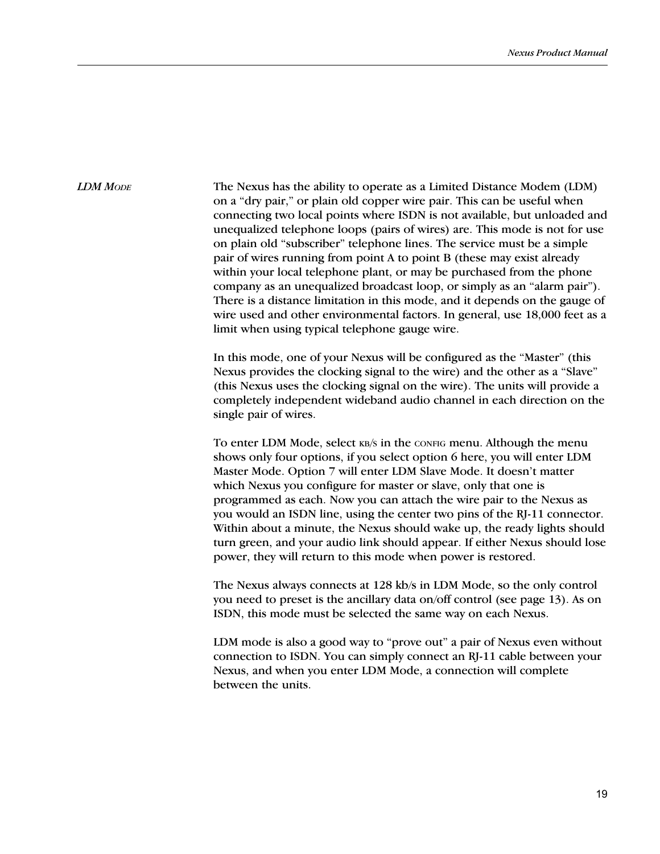### LDM MODE

The Nexus has the ability to operate as a Limited Distance Modem (LDM) on a "dry pair," or plain old copper wire pair. This can be useful when connecting two local points where ISDN is not available, but unloaded and unequalized telephone loops (pairs of wires) are. This mode is not for use on plain old "subscriber" telephone lines. The service must be a simple pair of wires running from point A to point B (these may exist already within your local telephone plant, or may be purchased from the phone company as an unequalized broadcast loop, or simply as an "alarm pair"). There is a distance limitation in this mode, and it depends on the gauge of wire used and other environmental factors. In general, use 18,000 feet as a limit when using typical telephone gauge wire.

In this mode, one of your Nexus will be configured as the "Master" (this Nexus provides the clocking signal to the wire) and the other as a "Slave" (this Nexus uses the clocking signal on the wire). The units will provide a completely independent wideband audio channel in each direction on the single pair of wires.

To enter LDM Mode, select KB/S in the CONFIG menu. Although the menu shows only four options, if you select option 6 here, you will enter LDM Master Mode. Option 7 will enter LDM Slave Mode. It doesn't matter which Nexus you configure for master or slave, only that one is programmed as each. Now you can attach the wire pair to the Nexus as you would an ISDN line, using the center two pins of the RJ-11 connector. Within about a minute, the Nexus should wake up, the ready lights should turn green, and your audio link should appear. If either Nexus should lose power, they will return to this mode when power is restored.

The Nexus always connects at 128 kb/s in LDM Mode, so the only control you need to preset is the ancillary data on/off control (see page 13). As on ISDN, this mode must be selected the same way on each Nexus.

LDM mode is also a good way to "prove out" a pair of Nexus even without connection to ISDN. You can simply connect an RJ-11 cable between your Nexus, and when you enter LDM Mode, a connection will complete between the units.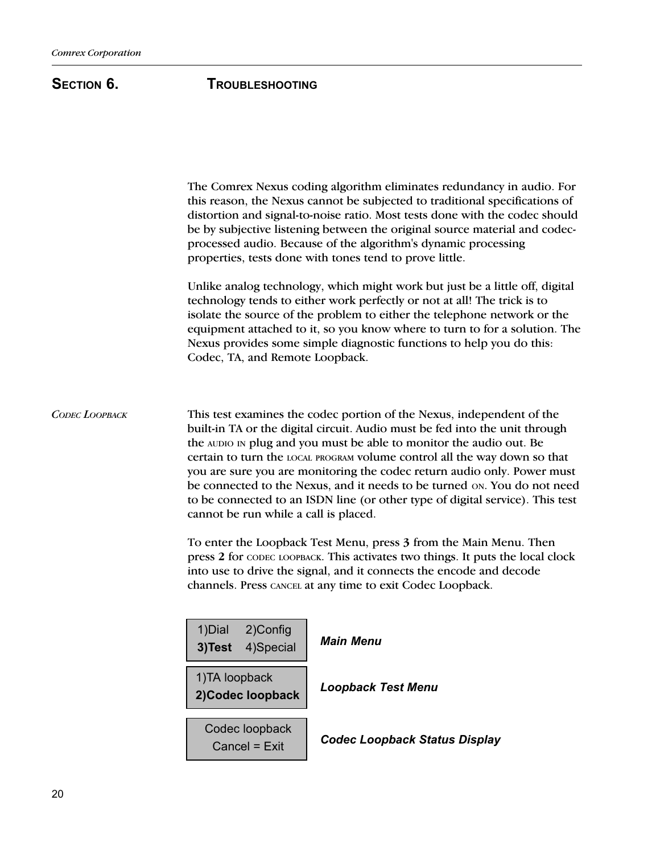# SECTION 6. TROUBLESHOOTING

The Comrex Nexus coding algorithm eliminates redundancy in audio. For this reason, the Nexus cannot be subjected to traditional specifications of distortion and signal-to-noise ratio. Most tests done with the codec should be by subjective listening between the original source material and codecprocessed audio. Because of the algorithm's dynamic processing properties, tests done with tones tend to prove little. Unlike analog technology, which might work but just be a little off, digital technology tends to either work perfectly or not at all! The trick is to isolate the source of the problem to either the telephone network or the equipment attached to it, so you know where to turn to for a solution. The Nexus provides some simple diagnostic functions to help you do this: Codec, TA, and Remote Loopback. This test examines the codec portion of the Nexus, independent of the built-in TA or the digital circuit. Audio must be fed into the unit through the AUDIO IN plug and you must be able to monitor the audio out. Be certain to turn the LOCAL PROGRAM volume control all the way down so that you are sure you are monitoring the codec return audio only. Power must be connected to the Nexus, and it needs to be turned ON. You do not need to be connected to an ISDN line (or other type of digital service). This test cannot be run while a call is placed. To enter the Loopback Test Menu, press 3 from the Main Menu. Then press 2 for CODEC LOOPBACK. This activates two things. It puts the local clock into use to drive the signal, and it connects the encode and decode channels. Press CANCEL at any time to exit Codec Loopback. CODEC LOOPBACK 1)Dial 2)Config 3)Test 4)Special Main Menu 1)TA loopback 2)Codec loopback | Loopback Test Menu Codec loopback  $Cancel = Exit$  Codec Loopback Status Display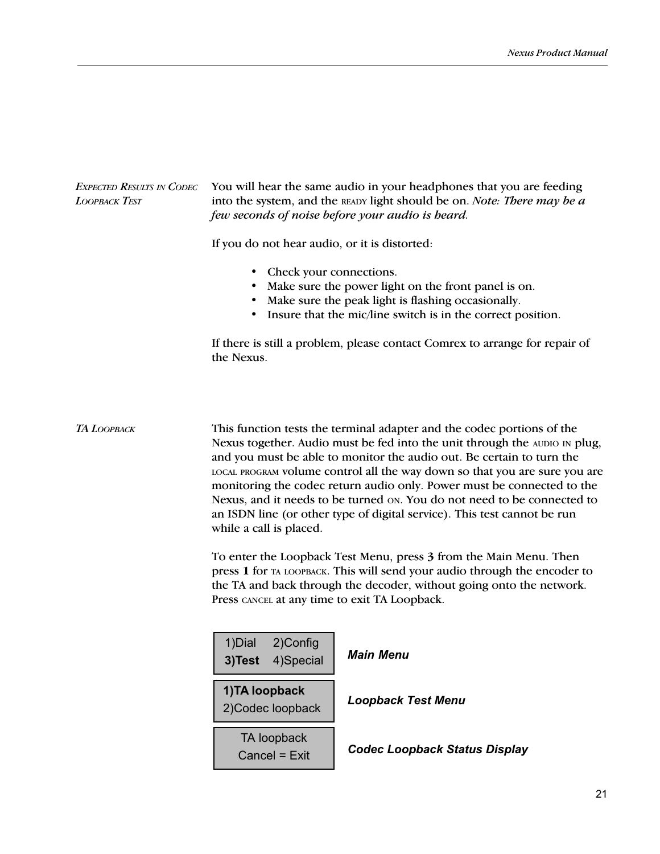| <b>EXPECTED RESULTS IN CODEC</b><br>LOOPBACK TEST | You will hear the same audio in your headphones that you are feeding<br>into the system, and the READY light should be on. Note: There may be a<br>few seconds of noise before your audio is heard.<br>If you do not hear audio, or it is distorted:                                                                                                                                                                                                                                                                                                                    |                                                                                                                                                                                |  |
|---------------------------------------------------|-------------------------------------------------------------------------------------------------------------------------------------------------------------------------------------------------------------------------------------------------------------------------------------------------------------------------------------------------------------------------------------------------------------------------------------------------------------------------------------------------------------------------------------------------------------------------|--------------------------------------------------------------------------------------------------------------------------------------------------------------------------------|--|
|                                                   |                                                                                                                                                                                                                                                                                                                                                                                                                                                                                                                                                                         |                                                                                                                                                                                |  |
|                                                   | • Check your connections.                                                                                                                                                                                                                                                                                                                                                                                                                                                                                                                                               | • Make sure the power light on the front panel is on.<br>• Make sure the peak light is flashing occasionally.<br>• Insure that the mic/line switch is in the correct position. |  |
|                                                   | the Nexus.                                                                                                                                                                                                                                                                                                                                                                                                                                                                                                                                                              | If there is still a problem, please contact Comrex to arrange for repair of                                                                                                    |  |
| ТА <i>LOOPBACK</i>                                | This function tests the terminal adapter and the codec portions of the<br>Nexus together. Audio must be fed into the unit through the AUDIO IN plug,<br>and you must be able to monitor the audio out. Be certain to turn the<br>LOCAL PROGRAM VOlume control all the way down so that you are sure you are<br>monitoring the codec return audio only. Power must be connected to the<br>Nexus, and it needs to be turned on. You do not need to be connected to<br>an ISDN line (or other type of digital service). This test cannot be run<br>while a call is placed. |                                                                                                                                                                                |  |
|                                                   | To enter the Loopback Test Menu, press 3 from the Main Menu. Then<br>press 1 for TA LOOPBACK. This will send your audio through the encoder to<br>the TA and back through the decoder, without going onto the network.<br>Press CANCEL at any time to exit TA Loopback.                                                                                                                                                                                                                                                                                                 |                                                                                                                                                                                |  |
|                                                   | 2)Config<br>1)Dial<br>4)Special<br>3)Test                                                                                                                                                                                                                                                                                                                                                                                                                                                                                                                               | <b>Main Menu</b>                                                                                                                                                               |  |
|                                                   | 1) TA loopback<br>2) Codec loopback                                                                                                                                                                                                                                                                                                                                                                                                                                                                                                                                     | <b>Loopback Test Menu</b>                                                                                                                                                      |  |
|                                                   | TA loopback<br>Cancel = Exit                                                                                                                                                                                                                                                                                                                                                                                                                                                                                                                                            | <b>Codec Loopback Status Display</b>                                                                                                                                           |  |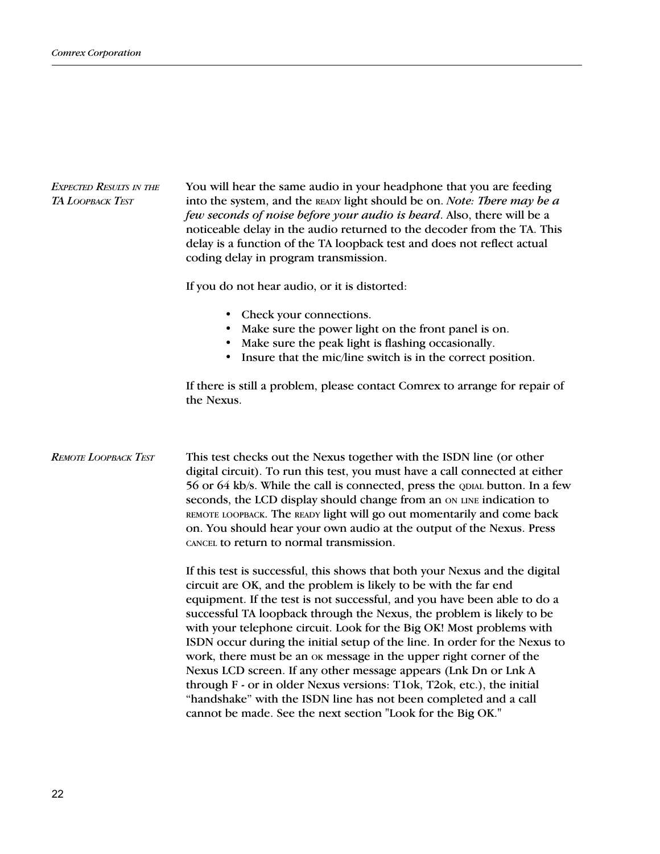| <b>EXPECTED RESULTS IN THE</b><br>TA LOOPBACK TEST | You will hear the same audio in your headphone that you are feeding<br>into the system, and the READY light should be on. Note: There may be a<br>few seconds of noise before your audio is heard. Also, there will be a<br>noticeable delay in the audio returned to the decoder from the TA. This<br>delay is a function of the TA loopback test and does not reflect actual<br>coding delay in program transmission.                                                                                                                                                                                                                                                                                                                                                                                          |  |
|----------------------------------------------------|------------------------------------------------------------------------------------------------------------------------------------------------------------------------------------------------------------------------------------------------------------------------------------------------------------------------------------------------------------------------------------------------------------------------------------------------------------------------------------------------------------------------------------------------------------------------------------------------------------------------------------------------------------------------------------------------------------------------------------------------------------------------------------------------------------------|--|
|                                                    | If you do not hear audio, or it is distorted:                                                                                                                                                                                                                                                                                                                                                                                                                                                                                                                                                                                                                                                                                                                                                                    |  |
|                                                    | Check your connections.<br>$\bullet$<br>Make sure the power light on the front panel is on.<br>Make sure the peak light is flashing occasionally.<br>Insure that the mic/line switch is in the correct position.                                                                                                                                                                                                                                                                                                                                                                                                                                                                                                                                                                                                 |  |
|                                                    | If there is still a problem, please contact Comrex to arrange for repair of<br>the Nexus.                                                                                                                                                                                                                                                                                                                                                                                                                                                                                                                                                                                                                                                                                                                        |  |
| <b>REMOTE LOOPBACK TEST</b>                        | This test checks out the Nexus together with the ISDN line (or other<br>digital circuit). To run this test, you must have a call connected at either<br>56 or 64 kb/s. While the call is connected, press the QDIAL button. In a few<br>seconds, the LCD display should change from an ON LINE indication to<br>REMOTE LOOPBACK. The READY light will go out momentarily and come back<br>on. You should hear your own audio at the output of the Nexus. Press<br>CANCEL to return to normal transmission.                                                                                                                                                                                                                                                                                                       |  |
|                                                    | If this test is successful, this shows that both your Nexus and the digital<br>circuit are OK, and the problem is likely to be with the far end<br>equipment. If the test is not successful, and you have been able to do a<br>successful TA loopback through the Nexus, the problem is likely to be<br>with your telephone circuit. Look for the Big OK! Most problems with<br>ISDN occur during the initial setup of the line. In order for the Nexus to<br>work, there must be an ok message in the upper right corner of the<br>Nexus LCD screen. If any other message appears (Lnk Dn or Lnk A<br>through F - or in older Nexus versions: T1ok, T2ok, etc.), the initial<br>"handshake" with the ISDN line has not been completed and a call<br>cannot be made. See the next section "Look for the Big OK." |  |
|                                                    |                                                                                                                                                                                                                                                                                                                                                                                                                                                                                                                                                                                                                                                                                                                                                                                                                  |  |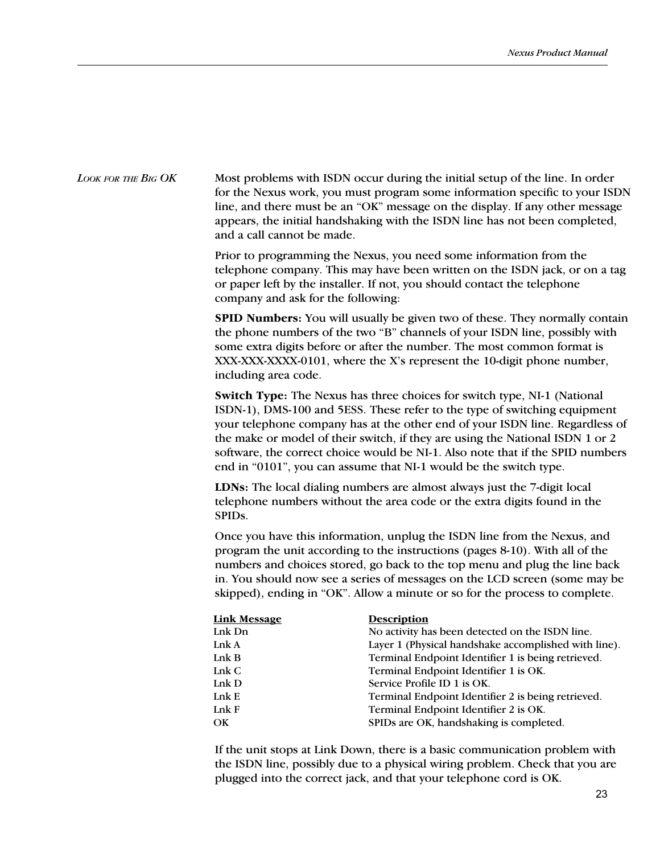LOOK FOR THE BIG OK Most problems with ISDN occur during the initial setup of the line. In order for the Nexus work, you must program some information specific to your ISDN line, and there must be an "OK" message on the display. If any other message appears, the initial handshaking with the ISDN line has not been completed, and a call cannot be made.

> Prior to programming the Nexus, you need some information from the telephone company. This may have been written on the ISDN jack, or on a tag or paper left by the installer. If not, you should contact the telephone company and ask for the following:

> SPID Numbers: You will usually be given two of these. They normally contain the phone numbers of the two "B" channels of your ISDN line, possibly with some extra digits before or after the number. The most common format is XXX-XXXX-XXXX-0101, where the X's represent the 10-digit phone number, including area code.

> Switch Type: The Nexus has three choices for switch type, NI-1 (National ISDN-1), DMS-100 and 5ESS. These refer to the type of switching equipment your telephone company has at the other end of your ISDN line. Regardless of the make or model of their switch, if they are using the National ISDN 1 or 2 software, the correct choice would be NI-1. Also note that if the SPID numbers end in "0101", you can assume that NI-1 would be the switch type.

LDNs: The local dialing numbers are almost always just the 7-digit local telephone numbers without the area code or the extra digits found in the SPIDs.

Once you have this information, unplug the ISDN line from the Nexus, and program the unit according to the instructions (pages 8-10). With all of the numbers and choices stored, go back to the top menu and plug the line back in. You should now see a series of messages on the LCD screen (some may be skipped), ending in "OK". Allow a minute or so for the process to complete.

| <b>Link Message</b> | <b>Description</b>                                   |
|---------------------|------------------------------------------------------|
| Lnk Dn              | No activity has been detected on the ISDN line.      |
| Lnk A               | Layer 1 (Physical handshake accomplished with line). |
| LinkB               | Terminal Endpoint Identifier 1 is being retrieved.   |
| LnkC                | Terminal Endpoint Identifier 1 is OK.                |
| Lnk $D$             | Service Profile ID 1 is OK.                          |
| Ink E               | Terminal Endpoint Identifier 2 is being retrieved.   |
| Ink F               | Terminal Endpoint Identifier 2 is OK.                |
| OK                  | SPIDs are OK, handshaking is completed.              |
|                     |                                                      |

If the unit stops at Link Down, there is a basic communication problem with the ISDN line, possibly due to a physical wiring problem. Check that you are plugged into the correct jack, and that your telephone cord is OK.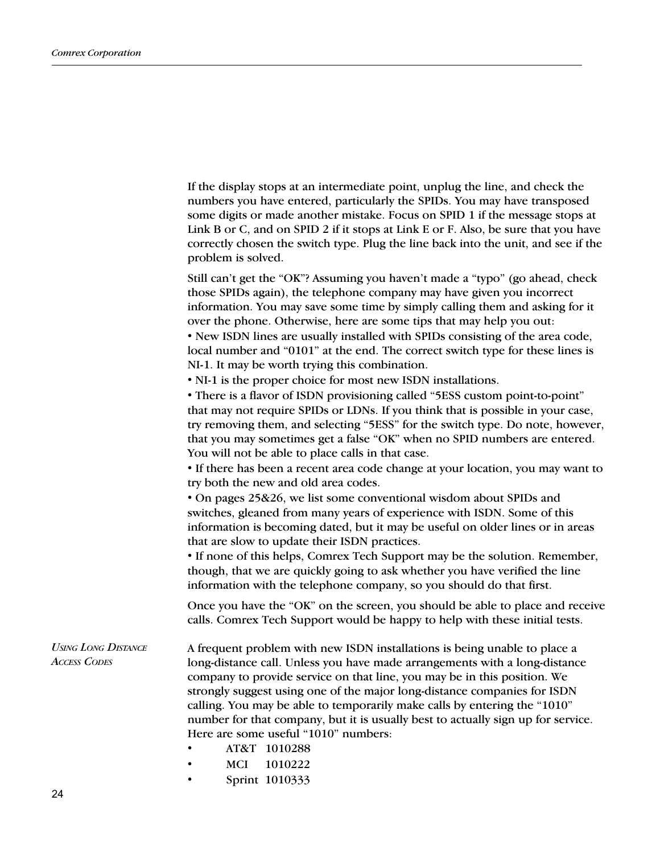|                                                   | If the display stops at an intermediate point, unplug the line, and check the<br>numbers you have entered, particularly the SPIDs. You may have transposed<br>some digits or made another mistake. Focus on SPID 1 if the message stops at<br>Link B or C, and on SPID 2 if it stops at Link E or F. Also, be sure that you have<br>correctly chosen the switch type. Plug the line back into the unit, and see if the<br>problem is solved.                                                                                                                      |
|---------------------------------------------------|-------------------------------------------------------------------------------------------------------------------------------------------------------------------------------------------------------------------------------------------------------------------------------------------------------------------------------------------------------------------------------------------------------------------------------------------------------------------------------------------------------------------------------------------------------------------|
|                                                   | Still can't get the "OK"? Assuming you haven't made a "typo" (go ahead, check<br>those SPIDs again), the telephone company may have given you incorrect<br>information. You may save some time by simply calling them and asking for it<br>over the phone. Otherwise, here are some tips that may help you out:<br>• New ISDN lines are usually installed with SPIDs consisting of the area code,<br>local number and "0101" at the end. The correct switch type for these lines is<br>NI-1. It may be worth trying this combination.                             |
|                                                   | • NI-1 is the proper choice for most new ISDN installations.<br>• There is a flavor of ISDN provisioning called "5ESS custom point-to-point"<br>that may not require SPIDs or LDNs. If you think that is possible in your case,<br>try removing them, and selecting "5ESS" for the switch type. Do note, however,<br>that you may sometimes get a false "OK" when no SPID numbers are entered.<br>You will not be able to place calls in that case.<br>• If there has been a recent area code change at your location, you may want to                            |
|                                                   | try both the new and old area codes.<br>• On pages 25&26, we list some conventional wisdom about SPIDs and<br>switches, gleaned from many years of experience with ISDN. Some of this<br>information is becoming dated, but it may be useful on older lines or in areas<br>that are slow to update their ISDN practices.<br>• If none of this helps, Comrex Tech Support may be the solution. Remember,<br>though, that we are quickly going to ask whether you have verified the line<br>information with the telephone company, so you should do that first.    |
|                                                   | Once you have the "OK" on the screen, you should be able to place and receive<br>calls. Comrex Tech Support would be happy to help with these initial tests.                                                                                                                                                                                                                                                                                                                                                                                                      |
| <b>USING LONG DISTANCE</b><br><b>ACCESS CODES</b> | A frequent problem with new ISDN installations is being unable to place a<br>long-distance call. Unless you have made arrangements with a long-distance<br>company to provide service on that line, you may be in this position. We<br>strongly suggest using one of the major long-distance companies for ISDN<br>calling. You may be able to temporarily make calls by entering the "1010"<br>number for that company, but it is usually best to actually sign up for service.<br>Here are some useful "1010" numbers:<br>AT&T 1010288<br><b>MCI</b><br>1010222 |
|                                                   | Sprint 1010333                                                                                                                                                                                                                                                                                                                                                                                                                                                                                                                                                    |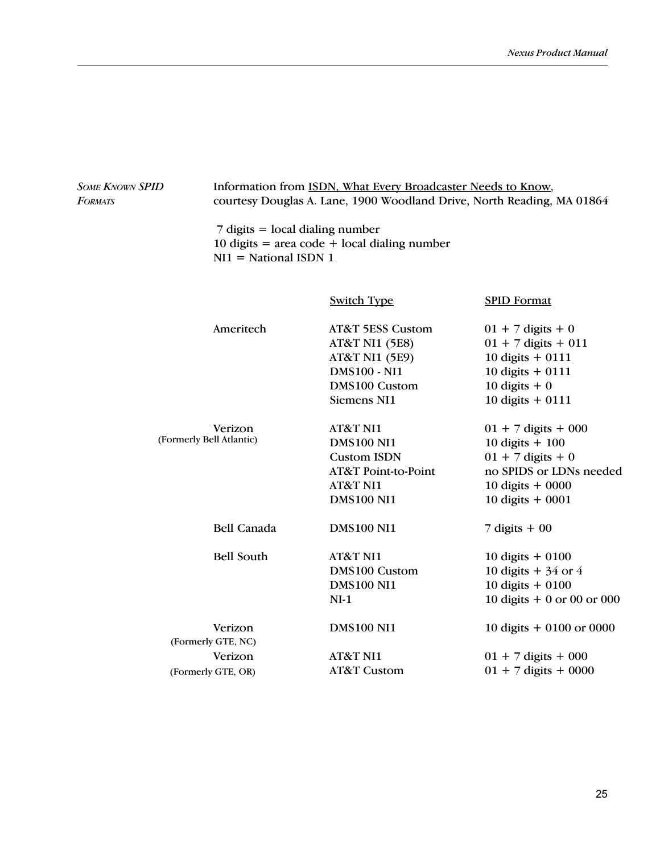| <b>SOME KNOWN SPID</b><br><b>FORMATS</b> |                                     | Information from ISDN, What Every Broadcaster Needs to Know,<br>courtesy Douglas A. Lane, 1900 Woodland Drive, North Reading, MA 01864              |                                                                                                                                       |  |  |
|------------------------------------------|-------------------------------------|-----------------------------------------------------------------------------------------------------------------------------------------------------|---------------------------------------------------------------------------------------------------------------------------------------|--|--|
|                                          |                                     | $7$ digits = local dialing number<br>10 digits = area code + local dialing number<br>$NI1 = National ISDN 1$                                        |                                                                                                                                       |  |  |
|                                          |                                     | <b>Switch Type</b>                                                                                                                                  | <b>SPID Format</b>                                                                                                                    |  |  |
|                                          | Ameritech                           | <b>AT&amp;T 5ESS Custom</b><br><b>AT&amp;T NI1 (5E8)</b><br><b>AT&amp;T NI1 (5E9)</b><br><b>DMS100 - NI1</b><br><b>DMS100 Custom</b><br>Siemens NI1 | $01 + 7$ digits + 0<br>$01 + 7$ digits + 011<br>10 digits $+$ 0111<br>10 digits $+$ 0111<br>10 digits $+0$<br>10 digits $+$ 0111      |  |  |
|                                          | Verizon<br>(Formerly Bell Atlantic) | AT&T NI1<br><b>DMS100 NI1</b><br><b>Custom ISDN</b><br>AT&T Point-to-Point<br>AT&T NI1<br><b>DMS100 NI1</b>                                         | $01 + 7$ digits + 000<br>10 digits $+100$<br>$01 + 7$ digits + 0<br>no SPIDS or LDNs needed<br>10 digits $+0000$<br>10 digits $+0001$ |  |  |
|                                          | <b>Bell Canada</b>                  | <b>DMS100 NI1</b>                                                                                                                                   | $7$ digits + 00                                                                                                                       |  |  |
|                                          | <b>Bell South</b>                   | AT&T NI1<br><b>DMS100 Custom</b><br><b>DMS100 NI1</b><br>$NI-1$                                                                                     | 10 digits $+$ 0100<br>10 digits $+34$ or 4<br>10 digits $+0100$<br>10 digits $+0$ or 00 or 000                                        |  |  |
|                                          | Verizon<br>(Formerly GTE, NC)       | <b>DMS100 NI1</b>                                                                                                                                   | 10 digits $+0100$ or 0000                                                                                                             |  |  |
|                                          | Verizon<br>(Formerly GTE, OR)       | AT&T NI1<br><b>AT&amp;T Custom</b>                                                                                                                  | $01 + 7$ digits + 000<br>$01 + 7$ digits + 0000                                                                                       |  |  |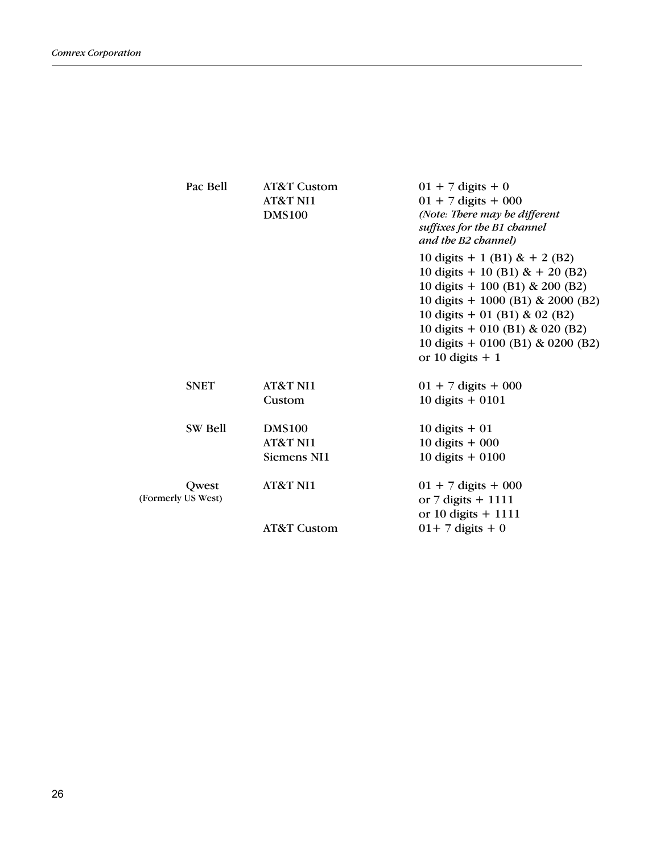| Pac Bell                    | AT&T Custom<br><b>AT&amp;T NI1</b><br><b>DMS100</b> | $01 + 7$ digits + 0<br>$01 + 7$ digits + 000<br>(Note: There may be different<br>suffixes for the B1 channel<br>and the B2 channel)                                                                                                                                                    |
|-----------------------------|-----------------------------------------------------|----------------------------------------------------------------------------------------------------------------------------------------------------------------------------------------------------------------------------------------------------------------------------------------|
|                             |                                                     | 10 digits $+ 1$ (B1) & $+ 2$ (B2)<br>10 digits $+$ 10 (B1) & $+$ 20 (B2)<br>10 digits $+$ 100 (B1) & 200 (B2)<br>10 digits $+$ 1000 (B1) & 2000 (B2)<br>10 digits $+$ 01 (B1) & 02 (B2)<br>10 digits + 010 (B1) & 020 (B2)<br>10 digits $+$ 0100 (B1) & 0200 (B2)<br>or 10 digits $+1$ |
| <b>SNET</b>                 | <b>AT&amp;T NI1</b><br>Custom                       | $01 + 7$ digits + 000<br>10 digits $+$ 0101                                                                                                                                                                                                                                            |
| SW Bell                     | <b>DMS100</b><br>AT&T NI1<br>Siemens NI1            | 10 digits $+01$<br>10 digits $+000$<br>10 digits $+0100$                                                                                                                                                                                                                               |
| Owest<br>(Formerly US West) | <b>AT&amp;T NI1</b><br><b>AT&amp;T Custom</b>       | $01 + 7$ digits + 000<br>or $7$ digits $+$ 1111<br>or 10 digits $+$ 1111<br>$01+7$ digits + 0                                                                                                                                                                                          |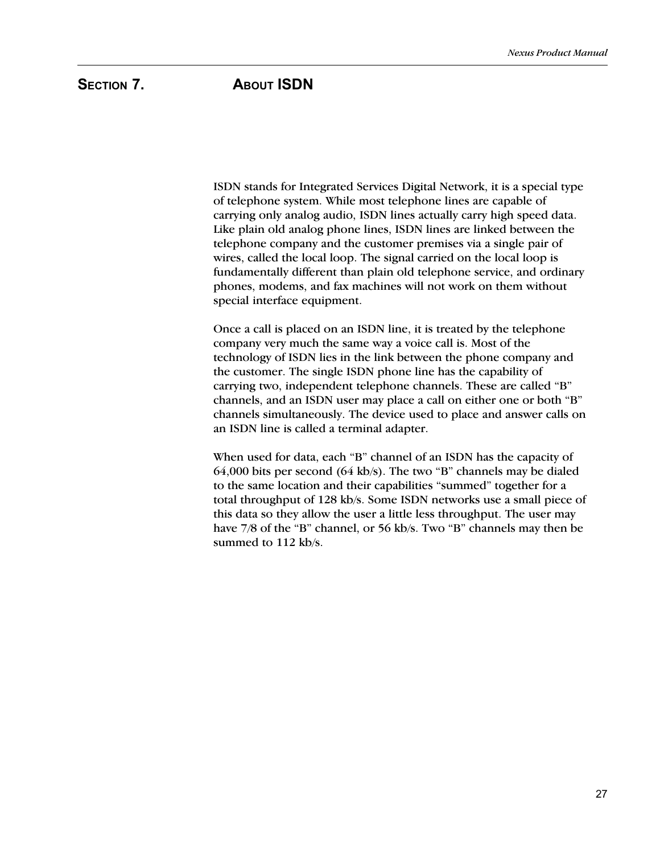# SECTION 7. ABOUT ISDN

ISDN stands for Integrated Services Digital Network, it is a special type of telephone system. While most telephone lines are capable of carrying only analog audio, ISDN lines actually carry high speed data. Like plain old analog phone lines, ISDN lines are linked between the telephone company and the customer premises via a single pair of wires, called the local loop. The signal carried on the local loop is fundamentally different than plain old telephone service, and ordinary phones, modems, and fax machines will not work on them without special interface equipment.

Once a call is placed on an ISDN line, it is treated by the telephone company very much the same way a voice call is. Most of the technology of ISDN lies in the link between the phone company and the customer. The single ISDN phone line has the capability of carrying two, independent telephone channels. These are called "B" channels, and an ISDN user may place a call on either one or both "B" channels simultaneously. The device used to place and answer calls on an ISDN line is called a terminal adapter.

When used for data, each "B" channel of an ISDN has the capacity of  $64,000$  bits per second  $(64 \text{ kb/s})$ . The two "B" channels may be dialed to the same location and their capabilities "summed" together for a total throughput of 128 kb/s. Some ISDN networks use a small piece of this data so they allow the user a little less throughput. The user may have 7/8 of the "B" channel, or 56 kb/s. Two "B" channels may then be summed to 112 kb/s.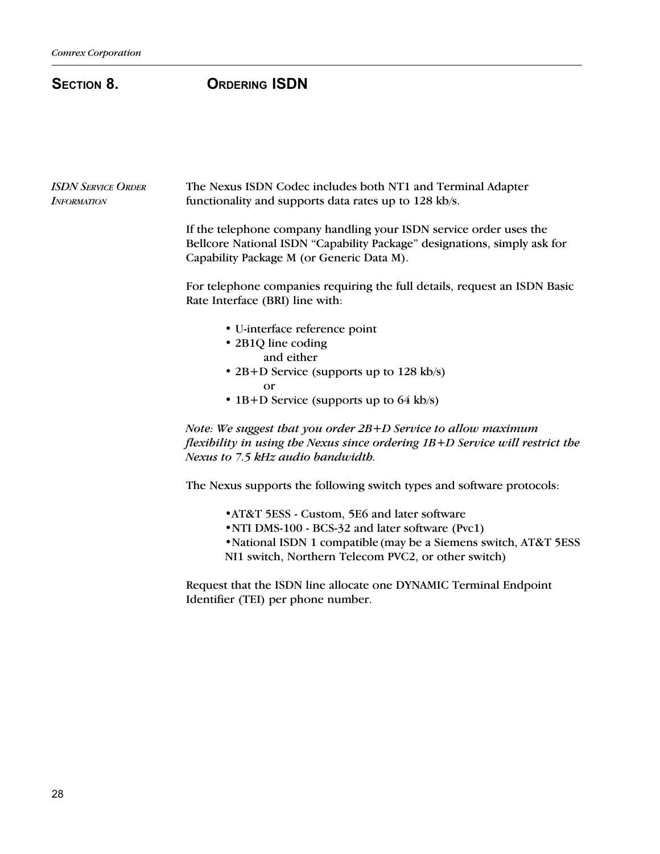# SECTION 8. ORDERING ISDN

| <b>ISDN SERVICE ORDER</b><br><b>INFORMATION</b> | The Nexus ISDN Codec includes both NT1 and Terminal Adapter<br>functionality and supports data rates up to 128 kb/s.                                                                        |
|-------------------------------------------------|---------------------------------------------------------------------------------------------------------------------------------------------------------------------------------------------|
|                                                 | If the telephone company handling your ISDN service order uses the<br>Bellcore National ISDN "Capability Package" designations, simply ask for<br>Capability Package M (or Generic Data M). |
|                                                 | For telephone companies requiring the full details, request an ISDN Basic<br>Rate Interface (BRI) line with:                                                                                |
|                                                 | • U-interface reference point                                                                                                                                                               |
|                                                 | • 2B1Q line coding                                                                                                                                                                          |
|                                                 | and either                                                                                                                                                                                  |
|                                                 | • 2B+D Service (supports up to 128 kb/s)                                                                                                                                                    |
|                                                 | <b>or</b>                                                                                                                                                                                   |
|                                                 | • 1B+D Service (supports up to $64$ kb/s)                                                                                                                                                   |
|                                                 | Note: We suggest that you order $2B+D$ Service to allow maximum                                                                                                                             |
|                                                 | flexibility in using the Nexus since ordering $1B+D$ Service will restrict the                                                                                                              |
|                                                 | Nexus to 7.5 kHz audio bandwidth.                                                                                                                                                           |
|                                                 | The Nexus supports the following switch types and software protocols:                                                                                                                       |
|                                                 | • AT&T 5ESS - Custom, 5E6 and later software                                                                                                                                                |
|                                                 | • NTI DMS-100 - BCS-32 and later software (Pvc1)                                                                                                                                            |

- National ISDN 1 compatible (may be a Siemens switch, AT&T 5ESS
- NI1 switch, Northern Telecom PVC2, or other switch)

Request that the ISDN line allocate one DYNAMIC Terminal Endpoint Identifier (TEI) per phone number.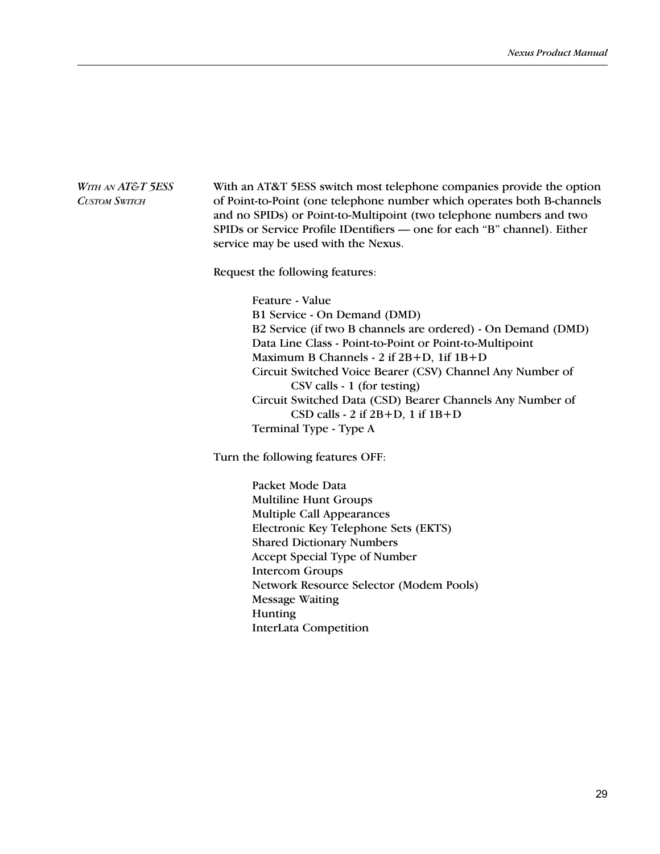# With an AT&T 5ESS switch most telephone companies provide the option of Point-to-Point (one telephone number which operates both B-channels and no SPIDs) or Point-to-Multipoint (two telephone numbers and two SPIDs or Service Profile IDentifiers - one for each "B" channel). Either service may be used with the Nexus. WITH AN **AT&T** 5ESS CUSTOM SWITCH

Request the following features:

Feature - Value B1 Service - On Demand (DMD) B2 Service (if two B channels are ordered) - On Demand (DMD) Data Line Class - Point-to-Point or Point-to-Multipoint Maximum B Channels - 2 if 2B+D, 1if 1B+D Circuit Switched Voice Bearer (CSV) Channel Any Number of CSV calls - 1 (for testing) Circuit Switched Data (CSD) Bearer Channels Any Number of CSD calls - 2 if 2B+D, 1 if 1B+D Terminal Type - Type A

Turn the following features OFF:

Packet Mode Data Multiline Hunt Groups Multiple Call Appearances Electronic Key Telephone Sets (EKTS) Shared Dictionary Numbers Accept Special Type of Number Intercom Groups Network Resource Selector (Modem Pools) Message Waiting Hunting InterLata Competition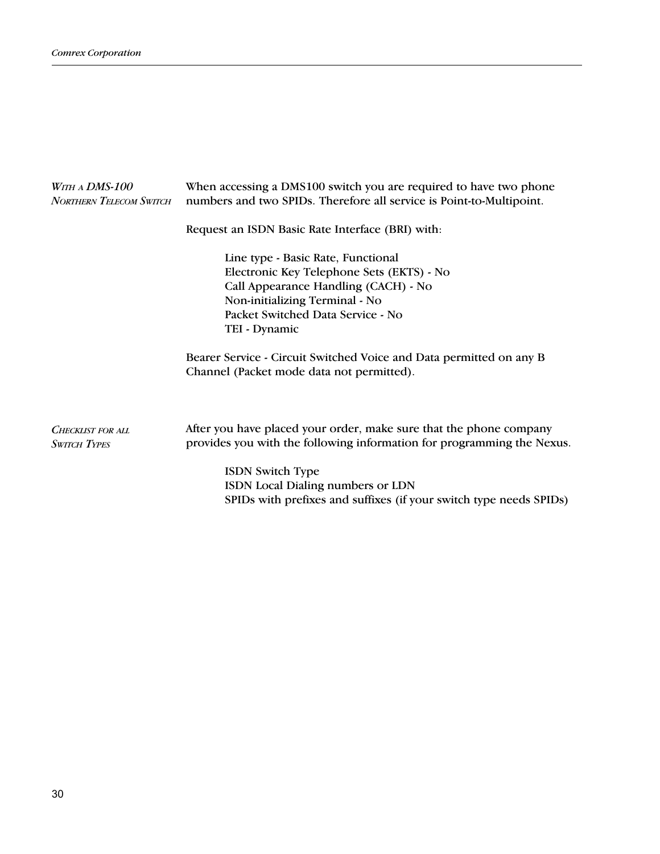| WITH A DMS-100<br><b>NORTHERN TELECOM SWITCH</b> | When accessing a DMS100 switch you are required to have two phone<br>numbers and two SPIDs. Therefore all service is Point-to-Multipoint.                                                                       |  |
|--------------------------------------------------|-----------------------------------------------------------------------------------------------------------------------------------------------------------------------------------------------------------------|--|
|                                                  | Request an ISDN Basic Rate Interface (BRI) with:                                                                                                                                                                |  |
|                                                  | Line type - Basic Rate, Functional<br>Electronic Key Telephone Sets (EKTS) - No<br>Call Appearance Handling (CACH) - No<br>Non-initializing Terminal - No<br>Packet Switched Data Service - No<br>TEI - Dynamic |  |
|                                                  | Bearer Service - Circuit Switched Voice and Data permitted on any B<br>Channel (Packet mode data not permitted).                                                                                                |  |
| <b>CHECKLIST FOR ALL</b><br><b>SWITCH TYPES</b>  | After you have placed your order, make sure that the phone company<br>provides you with the following information for programming the Nexus.                                                                    |  |
|                                                  | <b>ISDN</b> Switch Type<br>ISDN Local Dialing numbers or LDN<br>SPIDs with prefixes and suffixes (if your switch type needs SPIDs)                                                                              |  |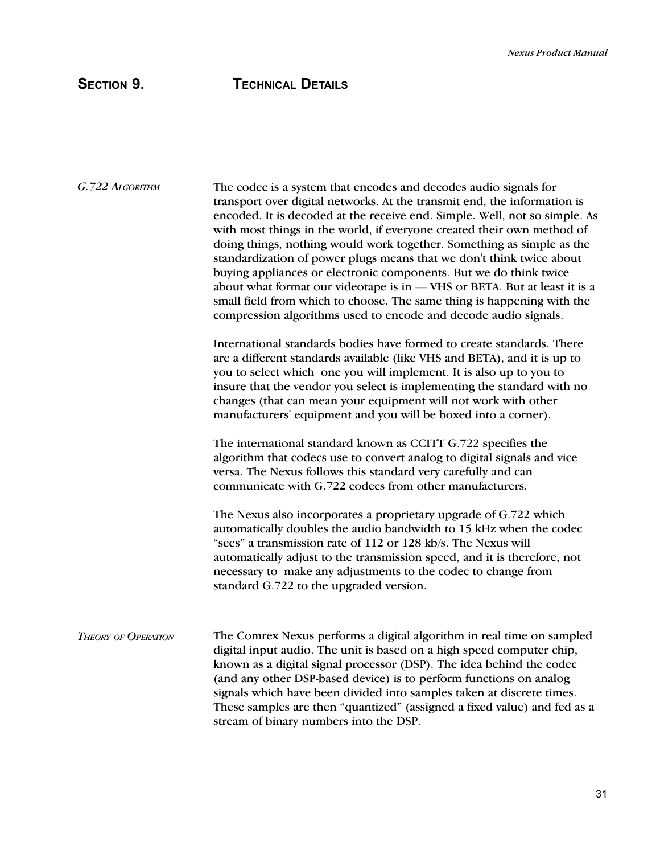| G. 722 ALGORITHM           | The codec is a system that encodes and decodes audio signals for<br>transport over digital networks. At the transmit end, the information is<br>encoded. It is decoded at the receive end. Simple. Well, not so simple. As<br>with most things in the world, if everyone created their own method of<br>doing things, nothing would work together. Something as simple as the<br>standardization of power plugs means that we don't think twice about<br>buying appliances or electronic components. But we do think twice<br>about what format our videotape is in - VHS or BETA. But at least it is a<br>small field from which to choose. The same thing is happening with the<br>compression algorithms used to encode and decode audio signals. |
|----------------------------|------------------------------------------------------------------------------------------------------------------------------------------------------------------------------------------------------------------------------------------------------------------------------------------------------------------------------------------------------------------------------------------------------------------------------------------------------------------------------------------------------------------------------------------------------------------------------------------------------------------------------------------------------------------------------------------------------------------------------------------------------|
|                            | International standards bodies have formed to create standards. There<br>are a different standards available (like VHS and BETA), and it is up to<br>you to select which one you will implement. It is also up to you to<br>insure that the vendor you select is implementing the standard with no<br>changes (that can mean your equipment will not work with other<br>manufacturers' equipment and you will be boxed into a corner).                                                                                                                                                                                                                                                                                                               |
|                            | The international standard known as CCITT G.722 specifies the<br>algorithm that codecs use to convert analog to digital signals and vice<br>versa. The Nexus follows this standard very carefully and can<br>communicate with G.722 codecs from other manufacturers.                                                                                                                                                                                                                                                                                                                                                                                                                                                                                 |
|                            | The Nexus also incorporates a proprietary upgrade of G.722 which<br>automatically doubles the audio bandwidth to 15 kHz when the codec<br>"sees" a transmission rate of 112 or 128 kb/s. The Nexus will<br>automatically adjust to the transmission speed, and it is therefore, not<br>necessary to make any adjustments to the codec to change from<br>standard G.722 to the upgraded version.                                                                                                                                                                                                                                                                                                                                                      |
| <b>THEORY OF OPERATION</b> | The Comrex Nexus performs a digital algorithm in real time on sampled<br>digital input audio. The unit is based on a high speed computer chip,<br>known as a digital signal processor (DSP). The idea behind the codec<br>(and any other DSP-based device) is to perform functions on analog<br>signals which have been divided into samples taken at discrete times.<br>These samples are then "quantized" (assigned a fixed value) and fed as a<br>stream of binary numbers into the DSP.                                                                                                                                                                                                                                                          |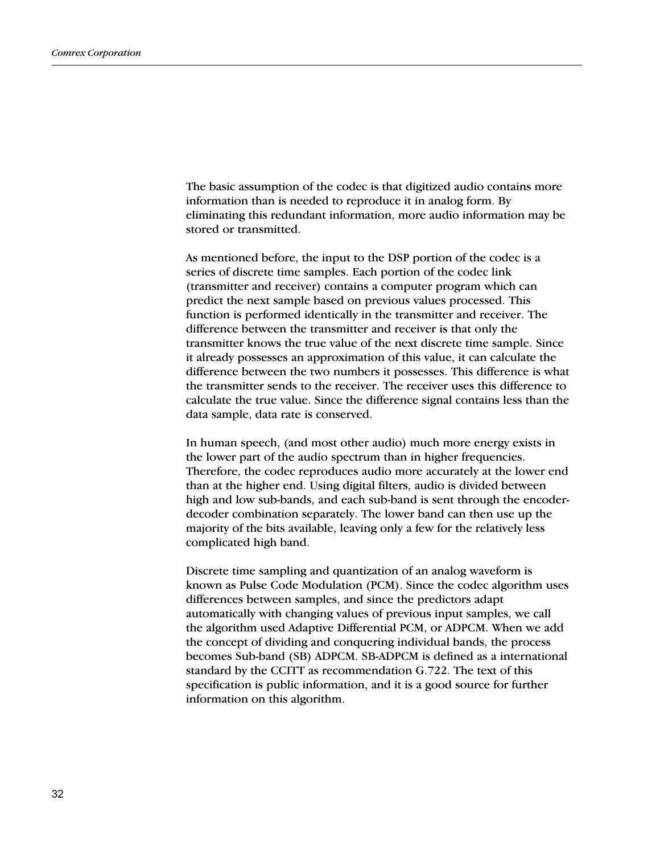The basic assumption of the codec is that digitized audio contains more information than is needed to reproduce it in analog form. By eliminating this redundant information, more audio information may be stored or transmitted.

As mentioned before, the input to the DSP portion of the codec is a series of discrete time samples. Each portion of the codec link (transmitter and receiver) contains a computer program which can predict the next sample based on previous values processed. This function is performed identically in the transmitter and receiver. The difference between the transmitter and receiver is that only the transmitter knows the true value of the next discrete time sample. Since it already possesses an approximation of this value, it can calculate the difference between the two numbers it possesses. This difference is what the transmitter sends to the receiver. The receiver uses this difference to calculate the true value. Since the difference signal contains less than the data sample, data rate is conserved.

In human speech, (and most other audio) much more energy exists in the lower part of the audio spectrum than in higher frequencies. Therefore, the codec reproduces audio more accurately at the lower end than at the higher end. Using digital filters, audio is divided between high and low sub-bands, and each sub-band is sent through the encoderdecoder combination separately. The lower band can then use up the majority of the bits available, leaving only a few for the relatively less complicated high band.

Discrete time sampling and quantization of an analog waveform is known as Pulse Code Modulation (PCM). Since the codec algorithm uses differences between samples, and since the predictors adapt automatically with changing values of previous input samples, we call the algorithm used Adaptive Differential PCM, or ADPCM. When we add the concept of dividing and conquering individual bands, the process becomes Sub-band (SB) ADPCM. SB-ADPCM is defined as a international standard by the CCITT as recommendation G.722. The text of this specification is public information, and it is a good source for further information on this algorithm.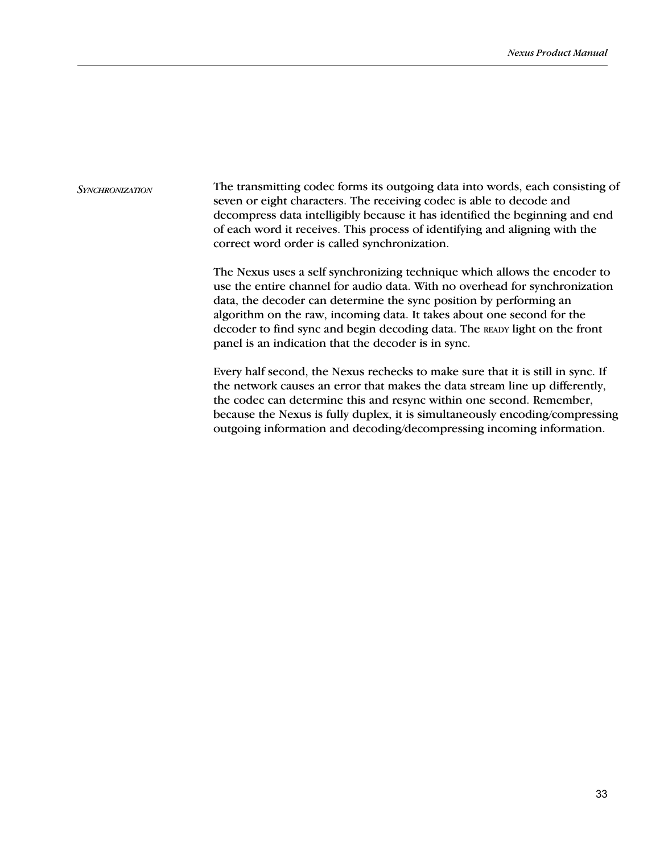The transmitting codec forms its outgoing data into words, each consisting of seven or eight characters. The receiving codec is able to decode and decompress data intelligibly because it has identified the beginning and end of each word it receives. This process of identifying and aligning with the correct word order is called synchronization. **SYNCHRONIZATION** 

> The Nexus uses a self synchronizing technique which allows the encoder to use the entire channel for audio data. With no overhead for synchronization data, the decoder can determine the sync position by performing an algorithm on the raw, incoming data. It takes about one second for the decoder to find sync and begin decoding data. The READY light on the front panel is an indication that the decoder is in sync.

Every half second, the Nexus rechecks to make sure that it is still in sync. If the network causes an error that makes the data stream line up differently, the codec can determine this and resync within one second. Remember, because the Nexus is fully duplex, it is simultaneously encoding/compressing outgoing information and decoding/decompressing incoming information.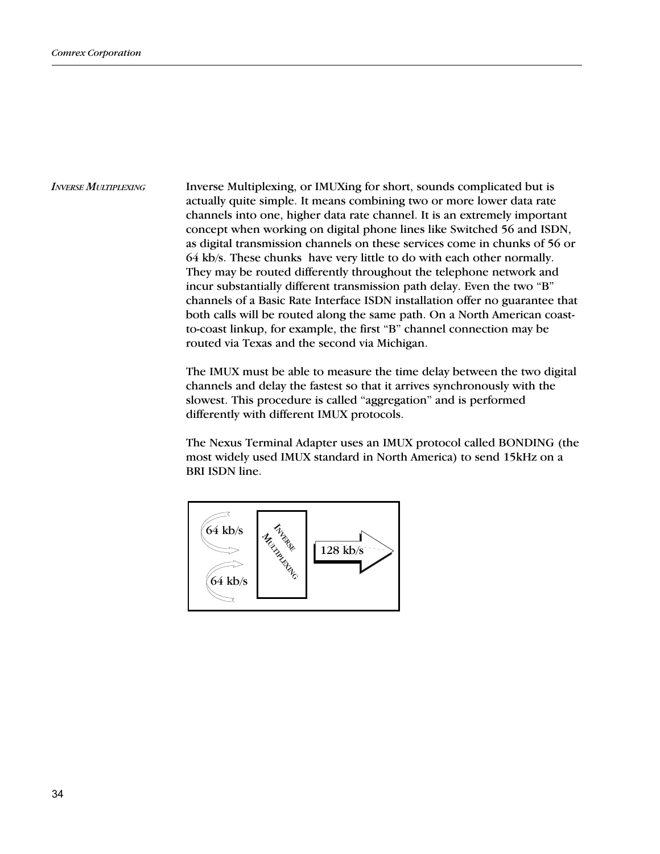Inverse Multiplexing, or IMUXing for short, sounds complicated but is actually quite simple. It means combining two or more lower data rate channels into one, higher data rate channel. It is an extremely important concept when working on digital phone lines like Switched 56 and ISDN, as digital transmission channels on these services come in chunks of 56 or 64 kb/s. These chunks have very little to do with each other normally. They may be routed differently throughout the telephone network and incur substantially different transmission path delay. Even the two "B" channels of a Basic Rate Interface ISDN installation offer no guarantee that both calls will be routed along the same path. On a North American coastto-coast linkup, for example, the first "B" channel connection may be routed via Texas and the second via Michigan. INVERSE MULTIPLEXING

> The IMUX must be able to measure the time delay between the two digital channels and delay the fastest so that it arrives synchronously with the slowest. This procedure is called "aggregation" and is performed differently with different IMUX protocols.

> The Nexus Terminal Adapter uses an IMUX protocol called BONDING (the most widely used IMUX standard in North America) to send 15kHz on a BRI ISDN line.

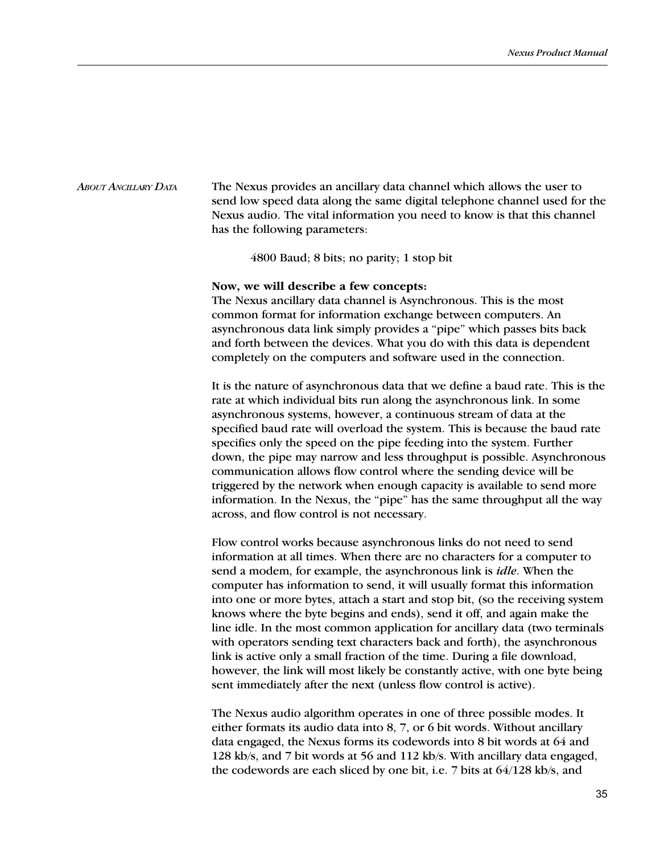The Nexus provides an ancillary data channel which allows the user to send low speed data along the same digital telephone channel used for the Nexus audio. The vital information you need to know is that this channel has the following parameters: ABOUT ANCILLARY DATA

4800 Baud; 8 bits; no parity; 1 stop bit

### Now, we will describe a few concepts:

The Nexus ancillary data channel is Asynchronous. This is the most common format for information exchange between computers. An asynchronous data link simply provides a "pipe" which passes bits back and forth between the devices. What you do with this data is dependent completely on the computers and software used in the connection.

It is the nature of asynchronous data that we define a baud rate. This is the rate at which individual bits run along the asynchronous link. In some asynchronous systems, however, a continuous stream of data at the specified baud rate will overload the system. This is because the baud rate specifies only the speed on the pipe feeding into the system. Further down, the pipe may narrow and less throughput is possible. Asynchronous communication allows flow control where the sending device will be triggered by the network when enough capacity is available to send more information. In the Nexus, the "pipe" has the same throughput all the way across, and flow control is not necessary.

Flow control works because asynchronous links do not need to send information at all times. When there are no characters for a computer to send a modem, for example, the asynchronous link is idle. When the computer has information to send, it will usually format this information into one or more bytes, attach a start and stop bit, (so the receiving system knows where the byte begins and ends), send it off, and again make the line idle. In the most common application for ancillary data (two terminals with operators sending text characters back and forth), the asynchronous link is active only a small fraction of the time. During a file download, however, the link will most likely be constantly active, with one byte being sent immediately after the next (unless flow control is active).

The Nexus audio algorithm operates in one of three possible modes. It either formats its audio data into 8, 7, or 6 bit words. Without ancillary data engaged, the Nexus forms its codewords into 8 bit words at 64 and 128 kb/s, and 7 bit words at 56 and 112 kb/s. With ancillary data engaged, the codewords are each sliced by one bit, i.e. 7 bits at 64/128 kb/s, and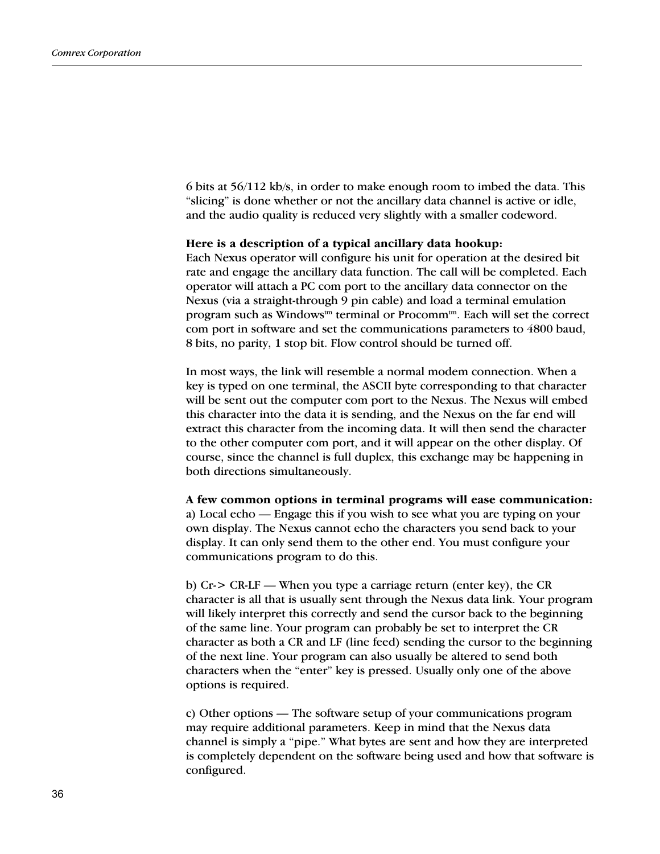6 bits at 56/112 kb/s, in order to make enough room to imbed the data. This "slicing" is done whether or not the ancillary data channel is active or idle, and the audio quality is reduced very slightly with a smaller codeword.

## Here is a description of a typical ancillary data hookup:

Each Nexus operator will configure his unit for operation at the desired bit rate and engage the ancillary data function. The call will be completed. Each operator will attach a PC com port to the ancillary data connector on the Nexus (via a straight-through 9 pin cable) and load a terminal emulation program such as Windows<sup>tm</sup> terminal or Procomm<sup>tm</sup>. Each will set the correct com port in software and set the communications parameters to 4800 baud, 8 bits, no parity, 1 stop bit. Flow control should be turned off.

In most ways, the link will resemble a normal modem connection. When a key is typed on one terminal, the ASCII byte corresponding to that character will be sent out the computer com port to the Nexus. The Nexus will embed this character into the data it is sending, and the Nexus on the far end will extract this character from the incoming data. It will then send the character to the other computer com port, and it will appear on the other display. Of course, since the channel is full duplex, this exchange may be happening in both directions simultaneously.

A few common options in terminal programs will ease communication: a) Local echo — Engage this if you wish to see what you are typing on your own display. The Nexus cannot echo the characters you send back to your display. It can only send them to the other end. You must configure your communications program to do this.

b)  $Cr$  >  $CR$ -LF — When you type a carriage return (enter key), the  $CR$ character is all that is usually sent through the Nexus data link. Your program will likely interpret this correctly and send the cursor back to the beginning of the same line. Your program can probably be set to interpret the CR character as both a CR and LF (line feed) sending the cursor to the beginning of the next line. Your program can also usually be altered to send both characters when the "enter" key is pressed. Usually only one of the above options is required.

c) Other options — The software setup of your communications program may require additional parameters. Keep in mind that the Nexus data channel is simply a "pipe." What bytes are sent and how they are interpreted is completely dependent on the software being used and how that software is configured.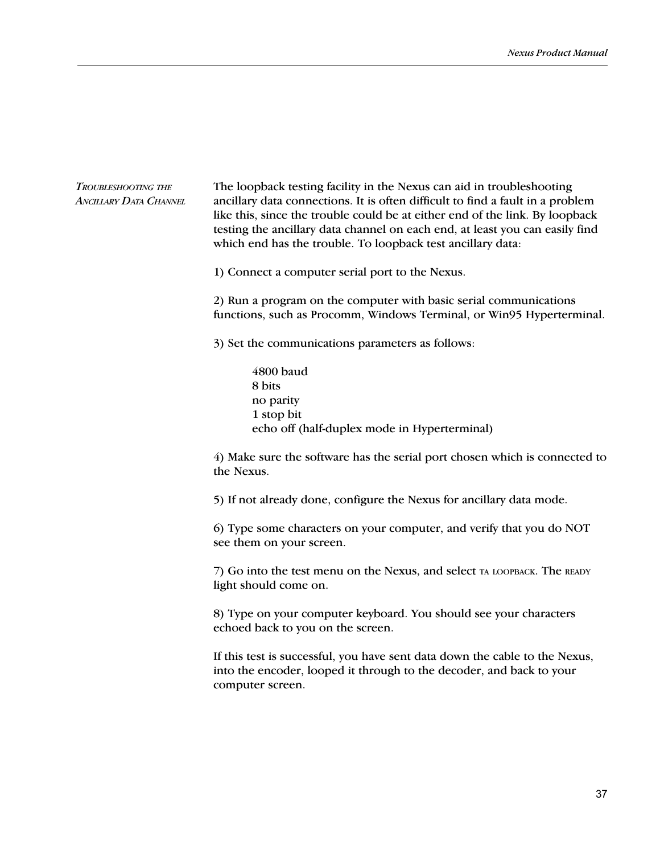# TROUBLESHOOTING THE ANCILLARY DATA CHANNEL

The loopback testing facility in the Nexus can aid in troubleshooting ancillary data connections. It is often difficult to find a fault in a problem like this, since the trouble could be at either end of the link. By loopback testing the ancillary data channel on each end, at least you can easily find which end has the trouble. To loopback test ancillary data:

1) Connect a computer serial port to the Nexus.

2) Run a program on the computer with basic serial communications functions, such as Procomm, Windows Terminal, or Win95 Hyperterminal.

3) Set the communications parameters as follows:

4800 baud 8 bits no parity 1 stop bit echo off (half-duplex mode in Hyperterminal)

4) Make sure the software has the serial port chosen which is connected to the Nexus.

5) If not already done, configure the Nexus for ancillary data mode.

6) Type some characters on your computer, and verify that you do NOT see them on your screen.

7) Go into the test menu on the Nexus, and select TA LOOPBACK. The READY light should come on.

8) Type on your computer keyboard. You should see your characters echoed back to you on the screen.

If this test is successful, you have sent data down the cable to the Nexus, into the encoder, looped it through to the decoder, and back to your computer screen.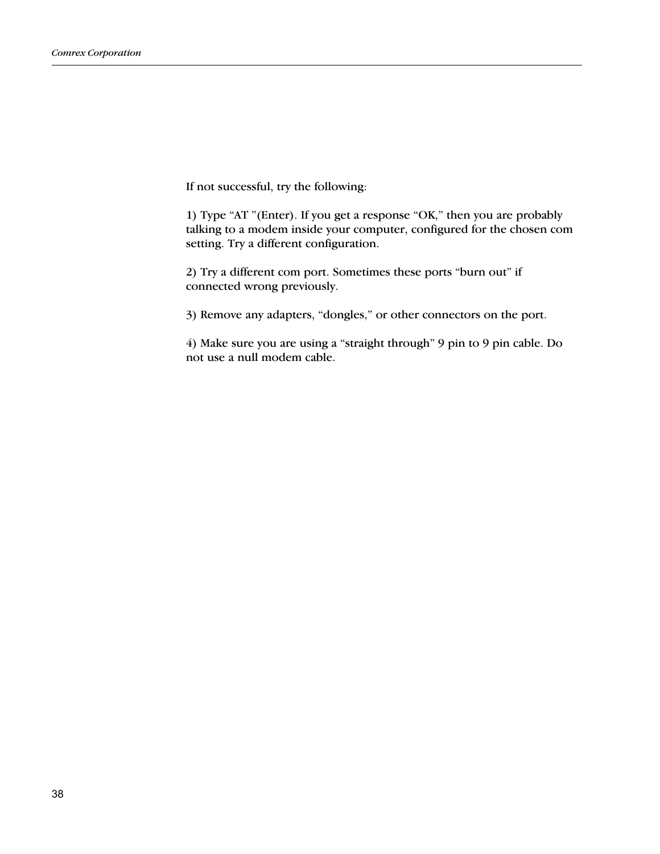If not successful, try the following:

1) Type "AT "(Enter). If you get a response "OK," then you are probably talking to a modem inside your computer, configured for the chosen com setting. Try a different configuration.

2) Try a different com port. Sometimes these ports "burn out" if connected wrong previously.

3) Remove any adapters, "dongles," or other connectors on the port.

4) Make sure you are using a "straight through" 9 pin to 9 pin cable. Do not use a null modem cable.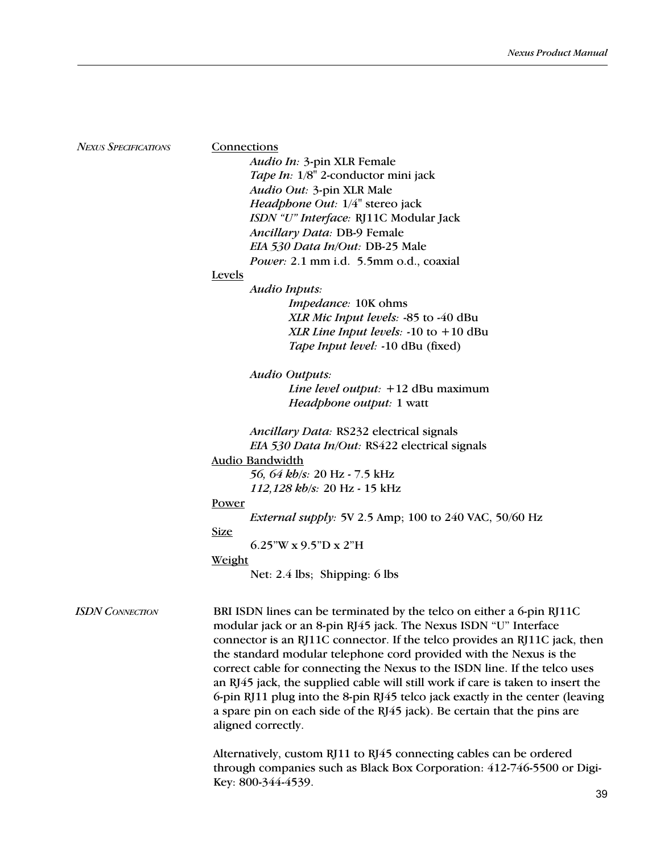NEXUS SPECIFICATIONS

### **Connections**

Audio In: 3-pin XLR Female Tape In: 1/8" 2-conductor mini jack Audio Out: 3-pin XLR Male Headphone Out: 1/4" stereo jack ISDN "U" Interface: RJ11C Modular Jack Ancillary Data: DB-9 Female EIA 530 Data In/Out: DB-25 Male Power: 2.1 mm i.d. 5.5mm o.d., coaxial

# Levels

Audio Inputs: Impedance: 10K ohms XLR Mic Input levels: -85 to -40 dBu XLR Line Input levels:  $-10$  to  $+10$  dBu Tape Input level: -10 dBu (fixed)

Audio Outputs: Line level output: +12 dBu maximum Headphone output: 1 watt

Ancillary Data: RS232 electrical signals EIA 530 Data In/Out: RS422 electrical signals Audio Bandwidth 56, 64 kb/s: 20 Hz - 7.5 kHz 112,128 kb/s: 20 Hz - 15 kHz Power

External supply: 5V 2.5 Amp; 100 to 240 VAC, 50/60 Hz

Size

6.25"W x 9.5"D x 2"H

# Weight

Net: 2.4 lbs; Shipping: 6 lbs

ISDN CONNECTION BRI ISDN lines can be terminated by the telco on either a 6-pin RJ11C modular jack or an 8-pin RJ45 jack. The Nexus ISDN "U" Interface connector is an RJ11C connector. If the telco provides an RJ11C jack, then the standard modular telephone cord provided with the Nexus is the correct cable for connecting the Nexus to the ISDN line. If the telco uses an RJ45 jack, the supplied cable will still work if care is taken to insert the 6-pin RJ11 plug into the 8-pin RJ45 telco jack exactly in the center (leaving a spare pin on each side of the RJ45 jack). Be certain that the pins are aligned correctly.

> Alternatively, custom RJ11 to RJ45 connecting cables can be ordered through companies such as Black Box Corporation: 412-746-5500 or Digi-Key: 800-344-4539.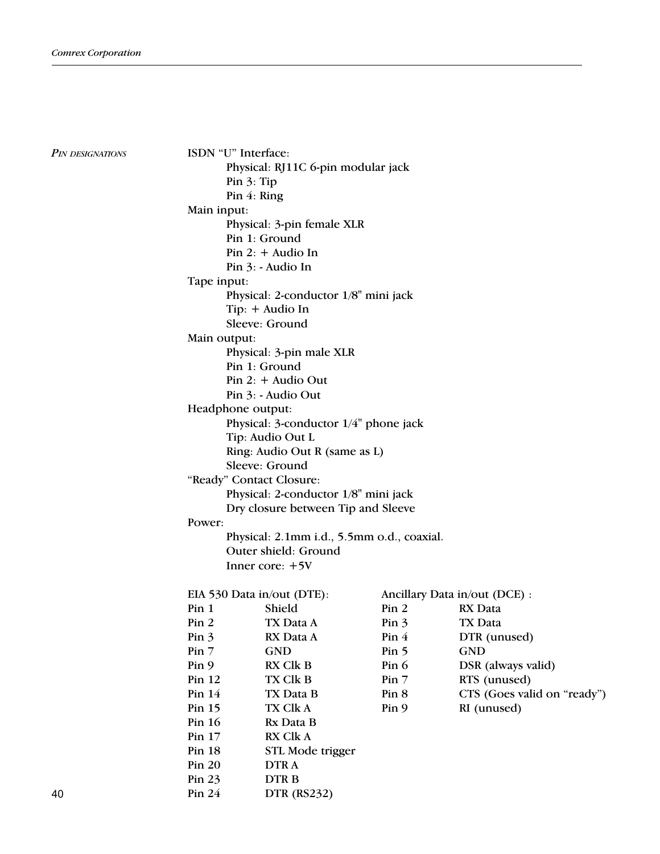PIN DESIGNATIONS

ISDN "U" Interface: Physical: RJ11C 6-pin modular jack Pin 3: Tip Pin 4: Ring Main input: Physical: 3-pin female XLR Pin 1: Ground Pin 2: + Audio In Pin 3: - Audio In Tape input: Physical: 2-conductor 1/8" mini jack Tip: + Audio In Sleeve: Ground Main output: Physical: 3-pin male XLR Pin 1: Ground Pin 2: + Audio Out Pin 3: - Audio Out Headphone output: Physical: 3-conductor 1/4" phone jack Tip: Audio Out L Ring: Audio Out R (same as L) Sleeve: Ground "Ready" Contact Closure: Physical: 2-conductor 1/8" mini jack Dry closure between Tip and Sleeve Power: Physical: 2.1mm i.d., 5.5mm o.d., coaxial. Outer shield: Ground Inner core: +5V EIA 530 Data in/out (DTE): Ancillary Data in/out (DCE) : Pin 1 Shield Pin 2 RX Data Pin 2 TX Data A Pin 3 TX Data Pin 3 RX Data A Pin 4 DTR (unused) Pin 7 GND Pin 5 GND Pin 9 RX Clk B Pin 6 DSR (always valid) Pin 12 TX Clk B Pin 7 RTS (unused) Pin 14 TX Data B Pin 8 CTS (Goes valid on "ready") Pin 15 TX Clk A Pin 9 RI (unused) Pin 16 Rx Data B Pin 17 RX Clk A Pin 18 STL Mode trigger Pin 20 DTR A Pin 23 DTR B

| Pin 24 | <b>DTR</b> (RS232) |
|--------|--------------------|
|        |                    |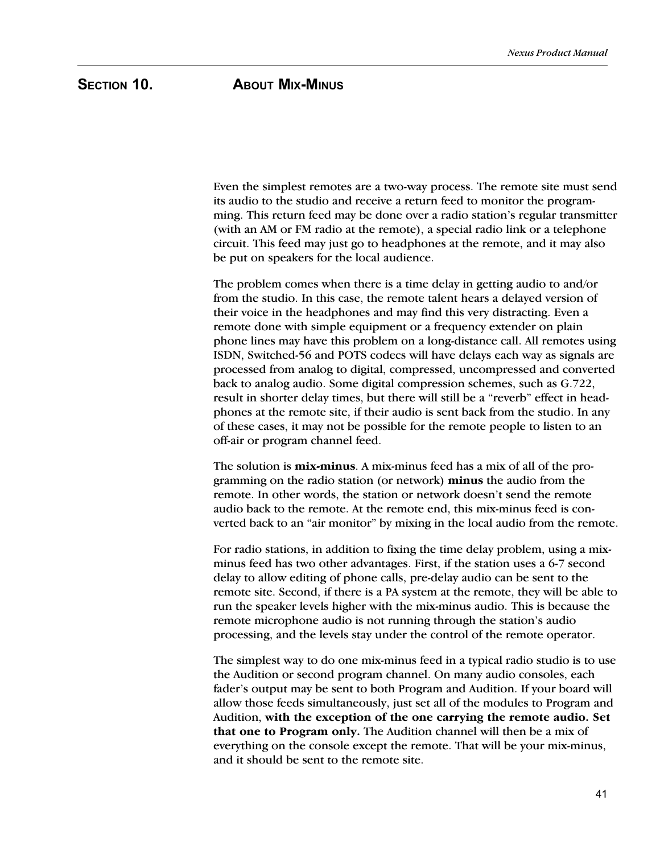# SECTION 10. **ABOUT MIX-MINUS**

Even the simplest remotes are a two-way process. The remote site must send its audio to the studio and receive a return feed to monitor the programming. This return feed may be done over a radio station's regular transmitter (with an AM or FM radio at the remote), a special radio link or a telephone circuit. This feed may just go to headphones at the remote, and it may also be put on speakers for the local audience.

The problem comes when there is a time delay in getting audio to and/or from the studio. In this case, the remote talent hears a delayed version of their voice in the headphones and may find this very distracting. Even a remote done with simple equipment or a frequency extender on plain phone lines may have this problem on a long-distance call. All remotes using ISDN, Switched-56 and POTS codecs will have delays each way as signals are processed from analog to digital, compressed, uncompressed and converted back to analog audio. Some digital compression schemes, such as G.722, result in shorter delay times, but there will still be a "reverb" effect in headphones at the remote site, if their audio is sent back from the studio. In any of these cases, it may not be possible for the remote people to listen to an off-air or program channel feed.

The solution is **mix-minus**. A mix-minus feed has a mix of all of the programming on the radio station (or network) minus the audio from the remote. In other words, the station or network doesn't send the remote audio back to the remote. At the remote end, this mix-minus feed is converted back to an "air monitor" by mixing in the local audio from the remote.

For radio stations, in addition to fixing the time delay problem, using a mixminus feed has two other advantages. First, if the station uses a 6-7 second delay to allow editing of phone calls, pre-delay audio can be sent to the remote site. Second, if there is a PA system at the remote, they will be able to run the speaker levels higher with the mix-minus audio. This is because the remote microphone audio is not running through the station's audio processing, and the levels stay under the control of the remote operator.

The simplest way to do one mix-minus feed in a typical radio studio is to use the Audition or second program channel. On many audio consoles, each fader's output may be sent to both Program and Audition. If your board will allow those feeds simultaneously, just set all of the modules to Program and Audition, with the exception of the one carrying the remote audio. Set that one to Program only. The Audition channel will then be a mix of everything on the console except the remote. That will be your mix-minus, and it should be sent to the remote site.